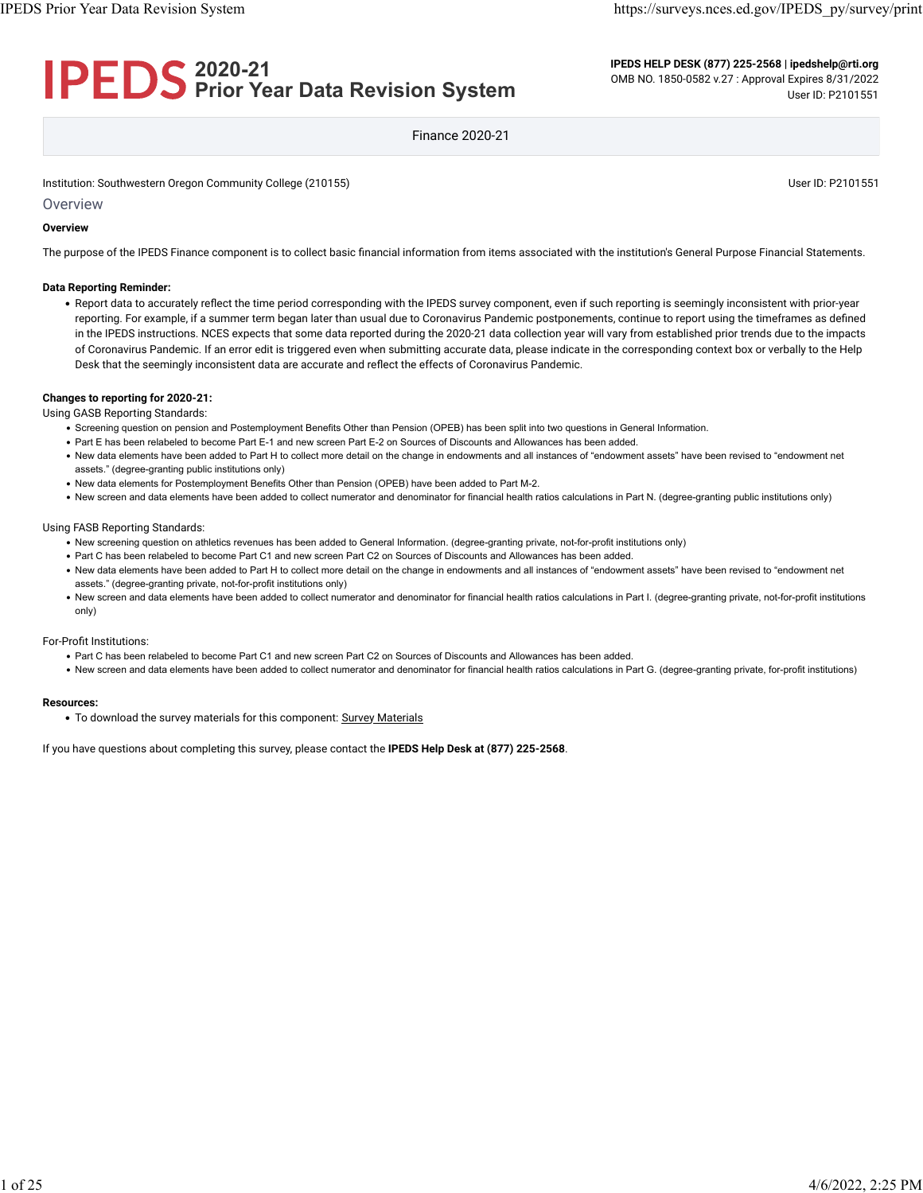# **2020-21 Prior Year Data Revision System**

**IPEDS HELP DESK (877) 225-2568 | ipedshelp@rti.org** OMB NO. 1850-0582 v.27 : Approval Expires 8/31/2022 User ID: P2101551

Finance 2020-21

Institution: Southwestern Oregon Community College (210155) Community College (210155)

**Overview** 

#### **Overview**

The purpose of the IPEDS Finance component is to collect basic financial information from items associated with the institution's General Purpose Financial Statements.

#### **Data Reporting Reminder:**

• Report data to accurately reflect the time period corresponding with the IPEDS survey component, even if such reporting is seemingly inconsistent with prior-year reporting. For example, if a summer term began later than usual due to Coronavirus Pandemic postponements, continue to report using the timeframes as defined in the IPEDS instructions. NCES expects that some data reported during the 2020-21 data collection year will vary from established prior trends due to the impacts of Coronavirus Pandemic. If an error edit is triggered even when submitting accurate data, please indicate in the corresponding context box or verbally to the Help Desk that the seemingly inconsistent data are accurate and reflect the effects of Coronavirus Pandemic.

#### **Changes to reporting for 2020-21:**

Using GASB Reporting Standards:

- Screening question on pension and Postemployment Benefits Other than Pension (OPEB) has been split into two questions in General Information.
- Part E has been relabeled to become Part E-1 and new screen Part E-2 on Sources of Discounts and Allowances has been added.
- New data elements have been added to Part H to collect more detail on the change in endowments and all instances of "endowment assets" have been revised to "endowment net assets." (degree-granting public institutions only)
- New data elements for Postemployment Benefits Other than Pension (OPEB) have been added to Part M-2.
- New screen and data elements have been added to collect numerator and denominator for financial health ratios calculations in Part N. (degree-granting public institutions only)

#### Using FASB Reporting Standards:

- New screening question on athletics revenues has been added to General Information. (degree-granting private, not-for-profit institutions only)
- Part C has been relabeled to become Part C1 and new screen Part C2 on Sources of Discounts and Allowances has been added.
- New data elements have been added to Part H to collect more detail on the change in endowments and all instances of "endowment assets" have been revised to "endowment net assets." (degree-granting private, not-for-profit institutions only)
- New screen and data elements have been added to collect numerator and denominator for financial health ratios calculations in Part I. (degree-granting private, not-for-profit institutions only)

#### For-Profit Institutions:

- Part C has been relabeled to become Part C1 and new screen Part C2 on Sources of Discounts and Allowances has been added.
- New screen and data elements have been added to collect numerator and denominator for financial health ratios calculations in Part G. (degree-granting private, for-profit institutions)

#### **Resources:**

• To download the survey materials for this component: [Survey Materials](https://surveys.nces.ed.gov/ipeds/public/survey-materials/index)

If you have questions about completing this survey, please contact the **IPEDS Help Desk at (877) 225-2568**.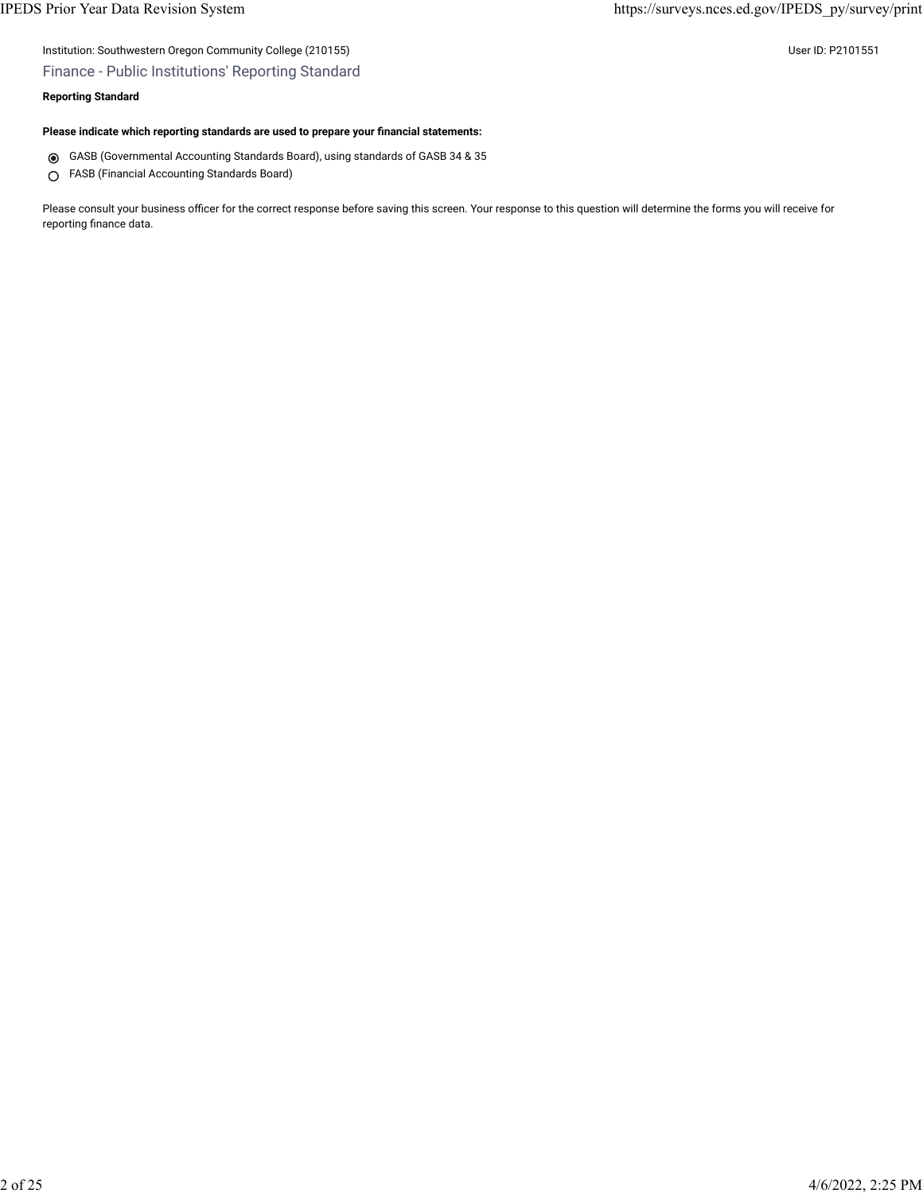## Institution: Southwestern Oregon Community College (210155) User ID: P2101551

## Finance - Public Institutions' Reporting Standard

#### **Reporting Standard**

#### **Please indicate which reporting standards are used to prepare your financial statements:**

- GASB (Governmental Accounting Standards Board), using standards of GASB 34 & 35
- FASB (Financial Accounting Standards Board)

Please consult your business officer for the correct response before saving this screen. Your response to this question will determine the forms you will receive for reporting finance data.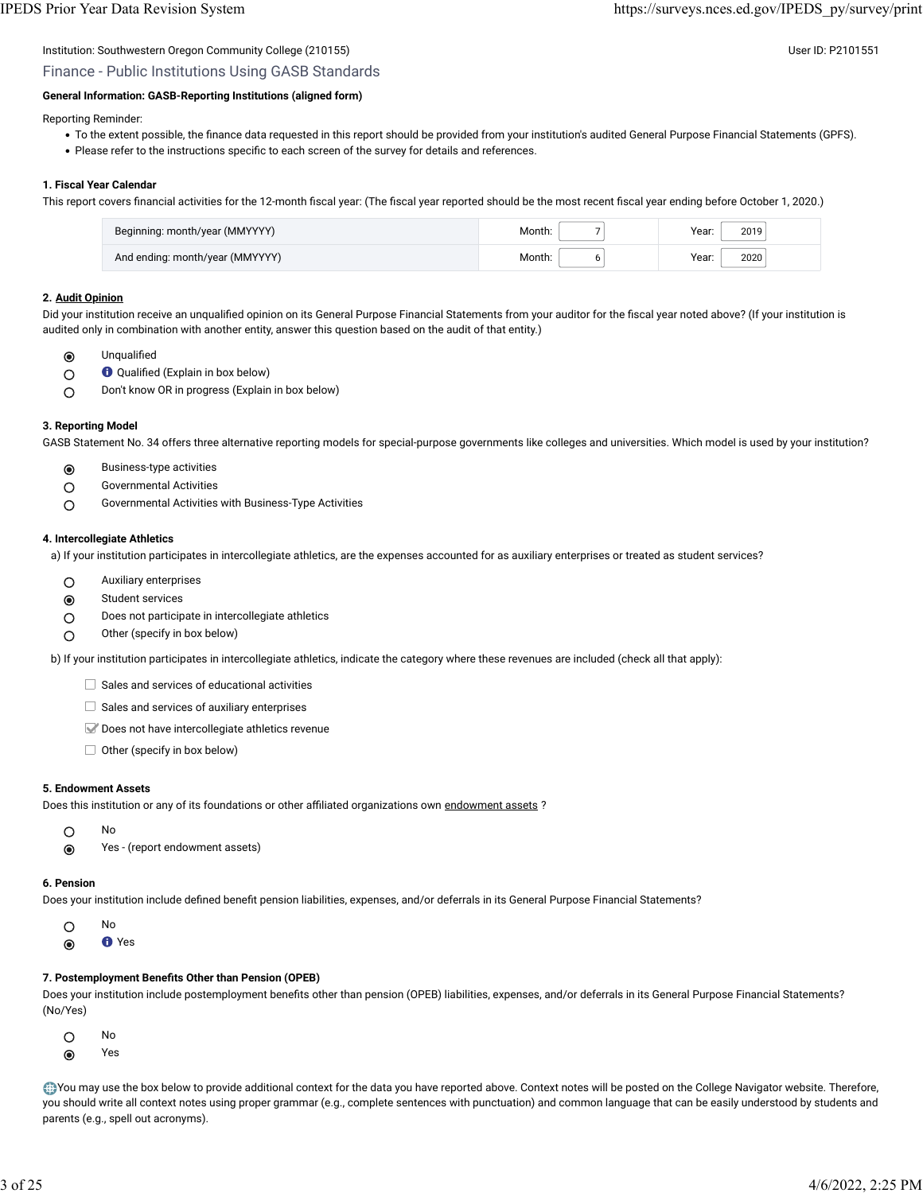# Institution: Southwestern Oregon Community College (210155) Community College (210155)

Finance - Public Institutions Using GASB Standards

## **General Information: GASB-Reporting Institutions (aligned form)**

Reporting Reminder:

- To the extent possible, the finance data requested in this report should be provided from your institution's audited General Purpose Financial Statements (GPFS).
- Please refer to the instructions specific to each screen of the survey for details and references.

#### **1. Fiscal Year Calendar**

This report covers financial activities for the 12-month fiscal year: (The fiscal year reported should be the most recent fiscal year ending before October 1, 2020.)

| Beginning: month/year (MMYYYY)  | Month. | Year:<br>2019 |
|---------------------------------|--------|---------------|
| And ending: month/year (MMYYYY) | Month. | 2020<br>Year: |

#### **2. [Audit Opinion](javascript:openglossary(727))**

Did your institution receive an unqualified opinion on its General Purpose Financial Statements from your auditor for the fiscal year noted above? (If your institution is audited only in combination with another entity, answer this question based on the audit of that entity.)

- Unqualified  $\odot$
- Qualified (Explain in box below)  $\circ$
- Don't know OR in progress (Explain in box below)  $\circ$

#### **3. Reporting Model**

GASB Statement No. 34 offers three alternative reporting models for special-purpose governments like colleges and universities. Which model is used by your institution?

- $\odot$ Business-type activities
- Governmental Activities  $\bigcirc$
- Governmental Activities with Business-Type Activities  $\circ$

#### **4. Intercollegiate Athletics**

a) If your institution participates in intercollegiate athletics, are the expenses accounted for as auxiliary enterprises or treated as student services?

- Auxiliary enterprises
- Student services
- O Does not participate in intercollegiate athletics
- $\bigcirc$  Other (specify in box below)

b) If your institution participates in intercollegiate athletics, indicate the category where these revenues are included (check all that apply):

- $\Box$  Sales and services of educational activities
- $\Box$  Sales and services of auxiliary enterprises
- Does not have intercollegiate athletics revenue
- $\Box$  Other (specify in box below)

#### **5. Endowment Assets**

Does this institution or any of its foundations or other affiliated organizations own [endowment assets](javascript:openglossary(197)) ?

- No  $\bigcirc$
- Yes (report endowment assets)

#### **6. Pension**

Does your institution include defined benefit pension liabilities, expenses, and/or deferrals in its General Purpose Financial Statements?

- $\circ$ No
- $\odot$ Yes

#### **7. Postemployment Benefits Other than Pension (OPEB)**

Does your institution include postemployment benefits other than pension (OPEB) liabilities, expenses, and/or deferrals in its General Purpose Financial Statements? (No/Yes)

- $\circ$ No
- $\odot$ Yes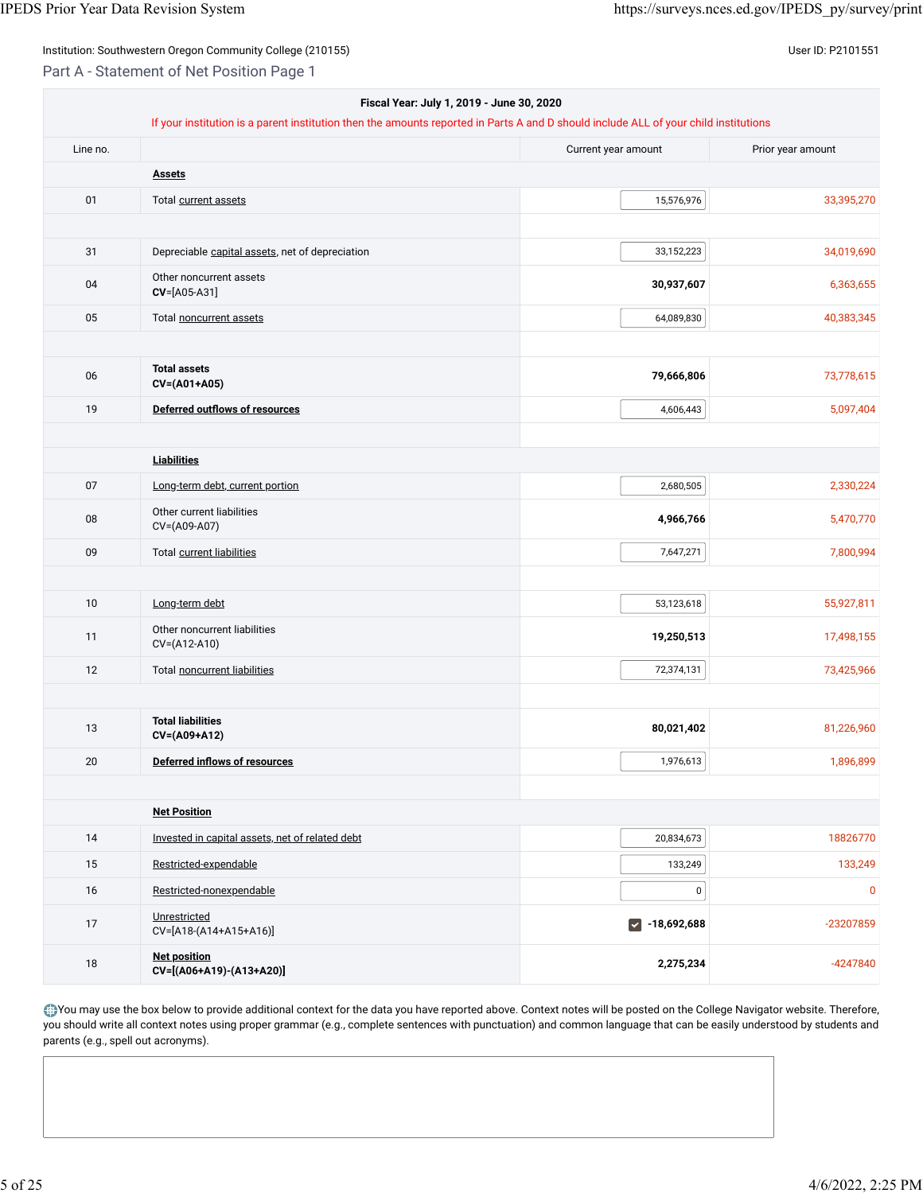Part A - Statement of Net Position Page 1

| Fiscal Year: July 1, 2019 - June 30, 2020 |                                                                                                                                      |                      |                   |  |
|-------------------------------------------|--------------------------------------------------------------------------------------------------------------------------------------|----------------------|-------------------|--|
|                                           | If your institution is a parent institution then the amounts reported in Parts A and D should include ALL of your child institutions |                      |                   |  |
| Line no.                                  |                                                                                                                                      | Current year amount  | Prior year amount |  |
|                                           | <b>Assets</b>                                                                                                                        |                      |                   |  |
| 01                                        | Total current assets                                                                                                                 | 15,576,976           | 33,395,270        |  |
|                                           |                                                                                                                                      |                      |                   |  |
| 31                                        | Depreciable capital assets, net of depreciation                                                                                      | 33,152,223           | 34,019,690        |  |
| 04                                        | Other noncurrent assets<br>$CV=[A05-A31]$                                                                                            | 30,937,607           | 6,363,655         |  |
| 05                                        | Total noncurrent assets                                                                                                              | 64,089,830           | 40,383,345        |  |
| 06                                        | <b>Total assets</b><br>CV=(A01+A05)                                                                                                  | 79,666,806           | 73,778,615        |  |
| 19                                        | <b>Deferred outflows of resources</b>                                                                                                | 4,606,443            | 5,097,404         |  |
|                                           |                                                                                                                                      |                      |                   |  |
|                                           | <b>Liabilities</b>                                                                                                                   |                      |                   |  |
| 07                                        | Long-term debt, current portion                                                                                                      | 2,680,505            | 2,330,224         |  |
| 08                                        | Other current liabilities<br>CV=(A09-A07)                                                                                            | 4,966,766            | 5,470,770         |  |
| 09                                        | Total current liabilities                                                                                                            | 7,647,271            | 7,800,994         |  |
|                                           |                                                                                                                                      |                      |                   |  |
| 10                                        | Long-term debt                                                                                                                       | 53,123,618           | 55,927,811        |  |
| 11                                        | Other noncurrent liabilities<br>CV=(A12-A10)                                                                                         | 19,250,513           | 17,498,155        |  |
| 12                                        | Total noncurrent liabilities                                                                                                         | 72,374,131           | 73,425,966        |  |
|                                           |                                                                                                                                      |                      |                   |  |
| 13                                        | <b>Total liabilities</b><br>CV=(A09+A12)                                                                                             | 80,021,402           | 81,226,960        |  |
| 20                                        | Deferred inflows of resources                                                                                                        | 1,976,613            | 1,896,899         |  |
|                                           |                                                                                                                                      |                      |                   |  |
|                                           | <b>Net Position</b>                                                                                                                  |                      |                   |  |
| 14                                        | Invested in capital assets, net of related debt                                                                                      | 20,834,673           | 18826770          |  |
| 15                                        | Restricted-expendable                                                                                                                | 133,249              | 133,249           |  |
| 16                                        | Restricted-nonexpendable                                                                                                             | 0                    | $\mathbf 0$       |  |
| 17                                        | Unrestricted<br>CV=[A18-(A14+A15+A16)]                                                                                               | $\sqrt{$ -18,692,688 | -23207859         |  |
| 18                                        | <b>Net position</b><br>CV=[(A06+A19)-(A13+A20)]                                                                                      | 2,275,234            | $-4247840$        |  |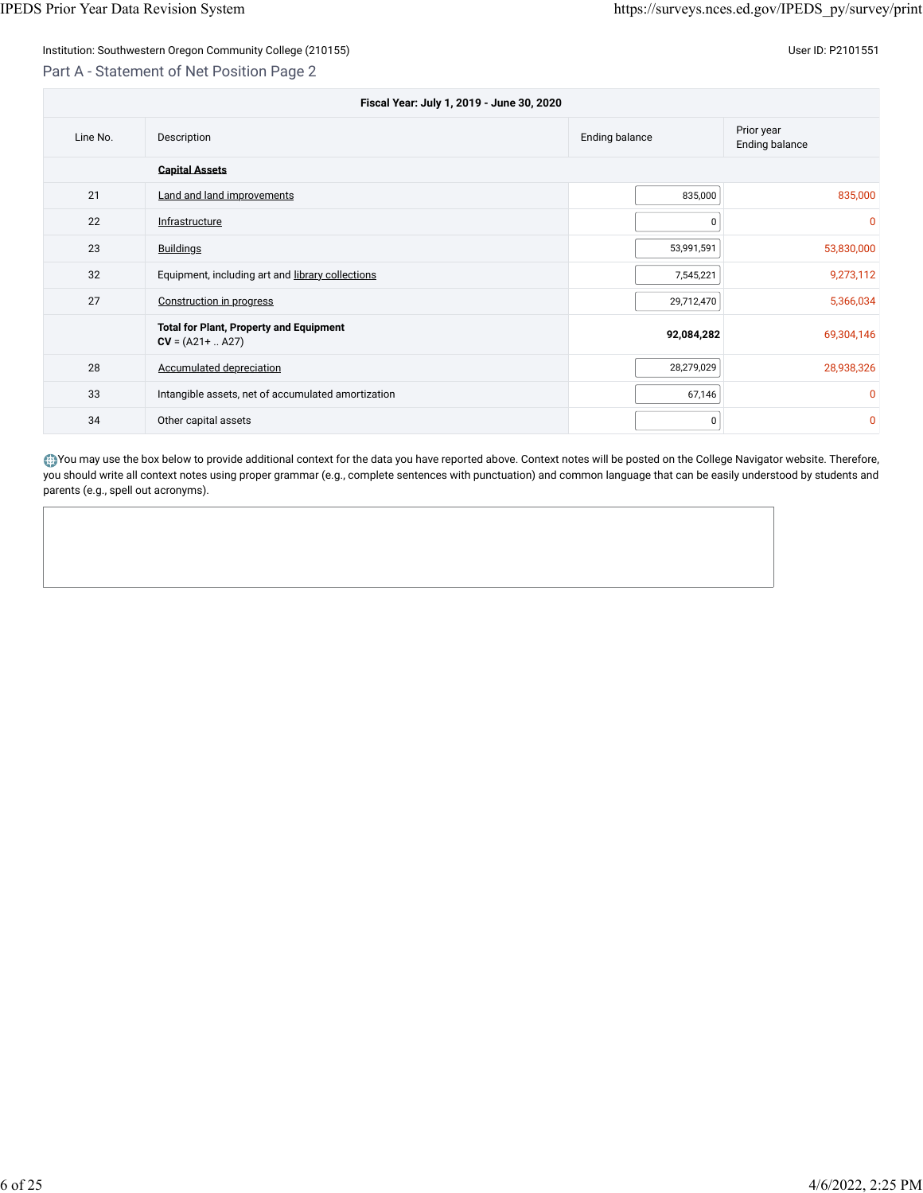## Institution: Southwestern Oregon Community College (210155) User ID: P2101551

## Part A - Statement of Net Position Page 2

| Fiscal Year: July 1, 2019 - June 30, 2020 |                                                                             |            |              |  |  |  |
|-------------------------------------------|-----------------------------------------------------------------------------|------------|--------------|--|--|--|
| Line No.                                  | Prior year<br><b>Ending balance</b><br>Description<br><b>Ending balance</b> |            |              |  |  |  |
|                                           | <b>Capital Assets</b>                                                       |            |              |  |  |  |
| 21                                        | Land and land improvements                                                  | 835,000    | 835,000      |  |  |  |
| 22                                        | Infrastructure                                                              | 0          | $\mathbf{0}$ |  |  |  |
| 23                                        | <b>Buildings</b>                                                            | 53,991,591 | 53,830,000   |  |  |  |
| 32                                        | Equipment, including art and library collections                            | 7,545,221  | 9,273,112    |  |  |  |
| 27                                        | Construction in progress                                                    | 29,712,470 | 5,366,034    |  |  |  |
|                                           | <b>Total for Plant, Property and Equipment</b><br>$CV = (A21 +  A27)$       | 92,084,282 | 69,304,146   |  |  |  |
| 28                                        | <b>Accumulated depreciation</b>                                             | 28,279,029 | 28,938,326   |  |  |  |
| 33                                        | Intangible assets, net of accumulated amortization                          | 67,146     | $\mathbf{0}$ |  |  |  |
| 34                                        | Other capital assets                                                        | 0          | $\mathbf 0$  |  |  |  |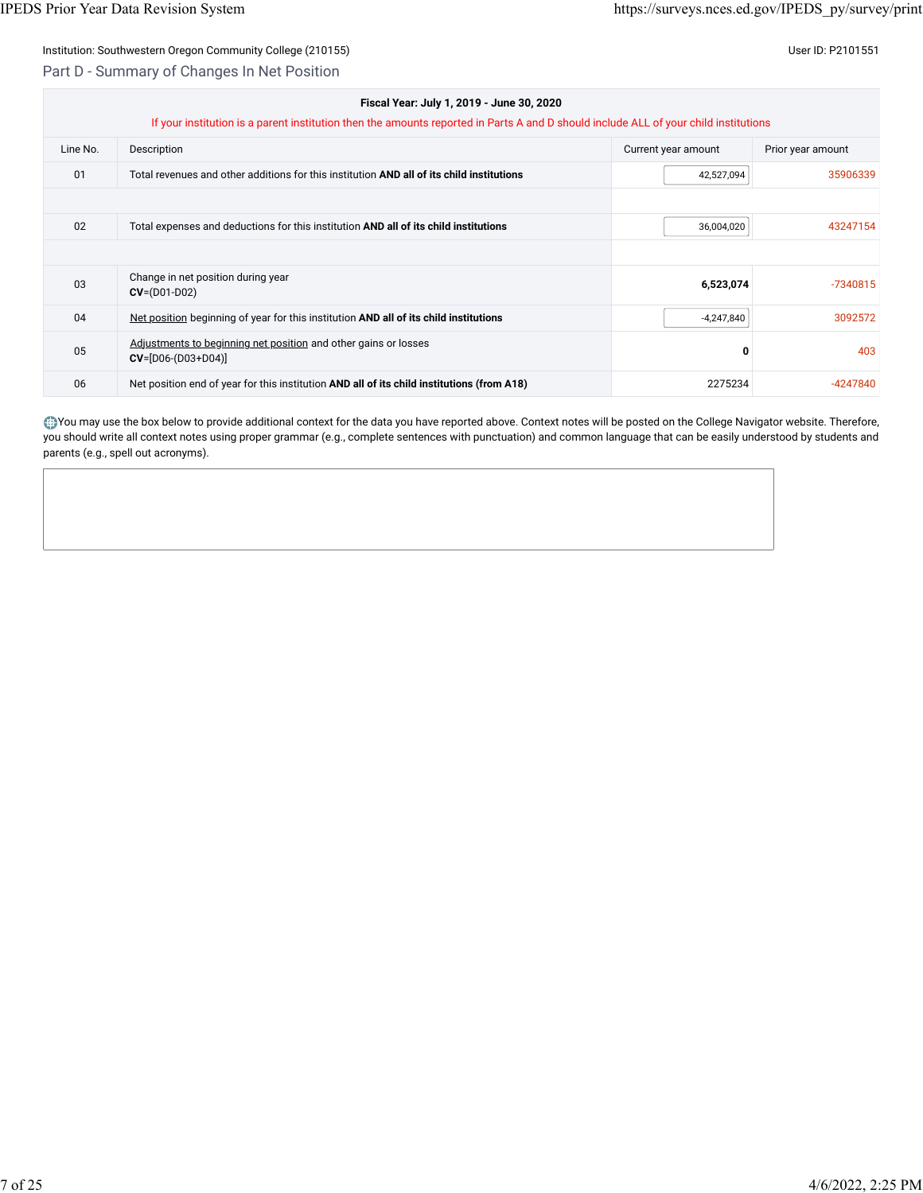## Part D - Summary of Changes In Net Position

| Fiscal Year: July 1, 2019 - June 30, 2020 |                                                                                                                                      |                     |                   |  |  |  |
|-------------------------------------------|--------------------------------------------------------------------------------------------------------------------------------------|---------------------|-------------------|--|--|--|
|                                           | If your institution is a parent institution then the amounts reported in Parts A and D should include ALL of your child institutions |                     |                   |  |  |  |
| Line No.                                  | Description                                                                                                                          | Current year amount | Prior year amount |  |  |  |
| 01                                        | Total revenues and other additions for this institution AND all of its child institutions                                            | 42,527,094          | 35906339          |  |  |  |
|                                           |                                                                                                                                      |                     |                   |  |  |  |
| 02                                        | Total expenses and deductions for this institution AND all of its child institutions                                                 | 36,004,020          | 43247154          |  |  |  |
|                                           |                                                                                                                                      |                     |                   |  |  |  |
| 03                                        | Change in net position during year<br>$CV = (D01-D02)$                                                                               | 6,523,074           | $-7340815$        |  |  |  |
| 04                                        | Net position beginning of year for this institution AND all of its child institutions                                                | $-4,247,840$        | 3092572           |  |  |  |
| 05                                        | Adjustments to beginning net position and other gains or losses<br>$CV=[D06-(D03+D04)]$                                              | 0                   | 403               |  |  |  |
| 06                                        | Net position end of year for this institution AND all of its child institutions (from A18)                                           | 2275234             | $-4247840$        |  |  |  |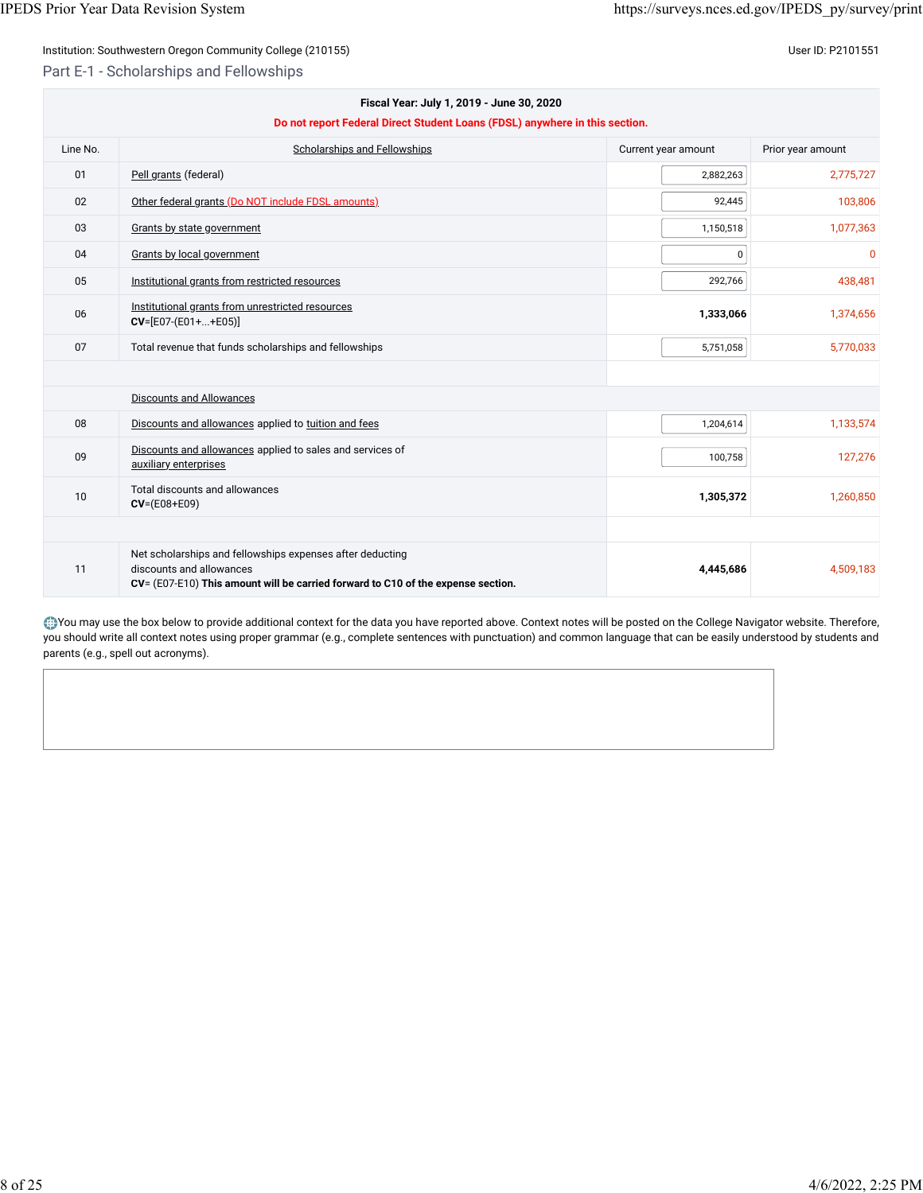Part E-1 - Scholarships and Fellowships

| Fiscal Year: July 1, 2019 - June 30, 2020<br>Do not report Federal Direct Student Loans (FDSL) anywhere in this section. |                                                                                                                                                                           |                     |                   |  |
|--------------------------------------------------------------------------------------------------------------------------|---------------------------------------------------------------------------------------------------------------------------------------------------------------------------|---------------------|-------------------|--|
| Line No.                                                                                                                 | <b>Scholarships and Fellowships</b>                                                                                                                                       | Current year amount | Prior year amount |  |
| 01                                                                                                                       | Pell grants (federal)                                                                                                                                                     | 2,882,263           | 2,775,727         |  |
| 02                                                                                                                       | Other federal grants (Do NOT include FDSL amounts)                                                                                                                        | 92,445              | 103,806           |  |
| 03                                                                                                                       | Grants by state government                                                                                                                                                | 1,150,518           | 1,077,363         |  |
| 04                                                                                                                       | Grants by local government                                                                                                                                                | $\pmb{0}$           | $\mathbf{0}$      |  |
| 05                                                                                                                       | Institutional grants from restricted resources                                                                                                                            | 292,766             | 438,481           |  |
| 06                                                                                                                       | Institutional grants from unrestricted resources<br>$CV=[E07-(E01++E05)]$                                                                                                 | 1,333,066           | 1,374,656         |  |
| 07                                                                                                                       | Total revenue that funds scholarships and fellowships                                                                                                                     | 5,751,058           | 5,770,033         |  |
|                                                                                                                          | <b>Discounts and Allowances</b>                                                                                                                                           |                     |                   |  |
| 08                                                                                                                       | Discounts and allowances applied to tuition and fees                                                                                                                      | 1,204,614           | 1,133,574         |  |
| 09                                                                                                                       | Discounts and allowances applied to sales and services of<br>auxiliary enterprises                                                                                        | 100,758             | 127,276           |  |
| 10                                                                                                                       | Total discounts and allowances<br>$CV = (E08 + E09)$                                                                                                                      | 1,305,372           | 1,260,850         |  |
|                                                                                                                          |                                                                                                                                                                           |                     |                   |  |
| 11                                                                                                                       | Net scholarships and fellowships expenses after deducting<br>discounts and allowances<br>CV= (E07-E10) This amount will be carried forward to C10 of the expense section. | 4,445,686           | 4,509,183         |  |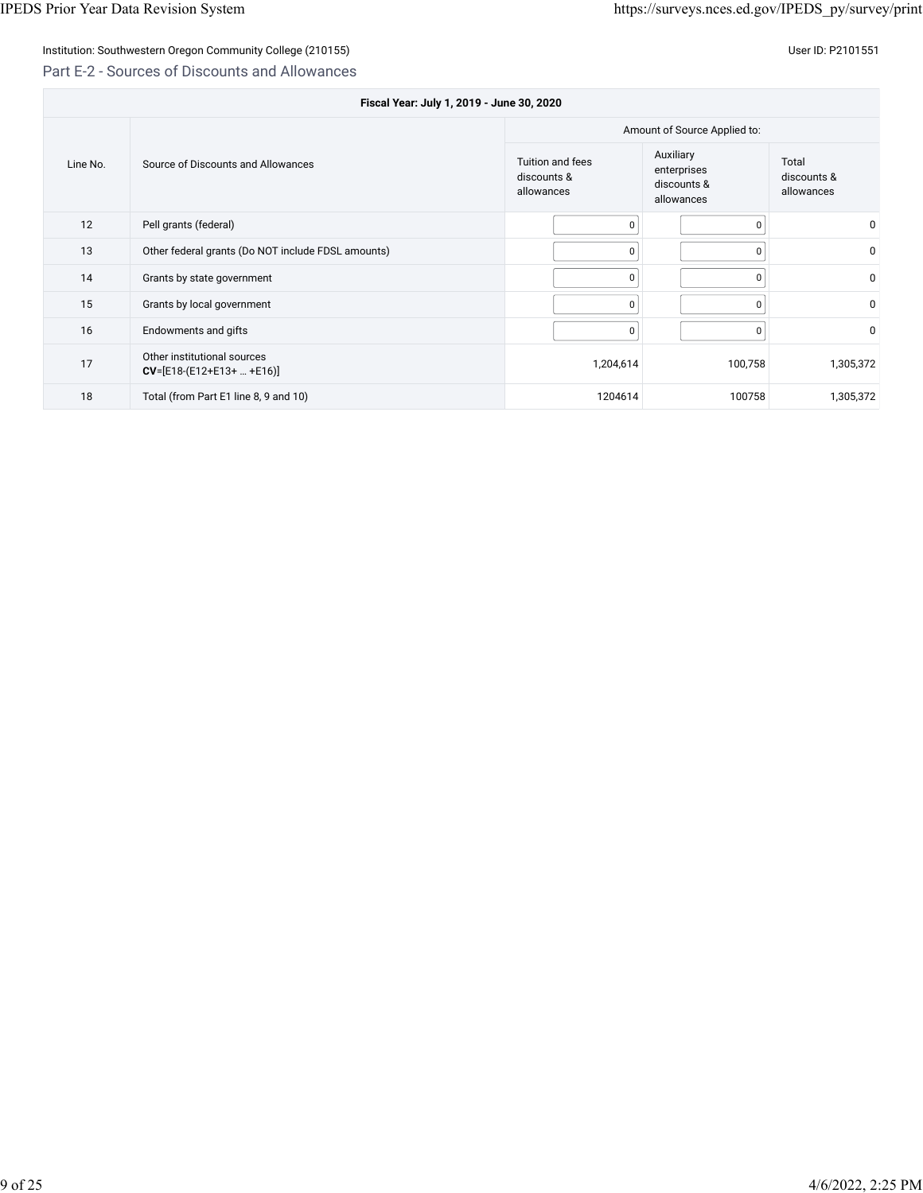## Part E-2 - Sources of Discounts and Allowances

| Fiscal Year: July 1, 2019 - June 30, 2020      |                                                            |                                               |                                                       |                                    |  |
|------------------------------------------------|------------------------------------------------------------|-----------------------------------------------|-------------------------------------------------------|------------------------------------|--|
|                                                |                                                            | Amount of Source Applied to:                  |                                                       |                                    |  |
| Line No.<br>Source of Discounts and Allowances |                                                            | Tuition and fees<br>discounts &<br>allowances | Auxiliary<br>enterprises<br>discounts &<br>allowances | Total<br>discounts &<br>allowances |  |
| 12                                             | Pell grants (federal)                                      | 0                                             | $\Omega$                                              | $\mathbf 0$                        |  |
| 13                                             | Other federal grants (Do NOT include FDSL amounts)         | 0                                             | 0                                                     | 0                                  |  |
| 14                                             | Grants by state government                                 | 0                                             | $\Omega$                                              | $\mathbf{0}$                       |  |
| 15                                             | Grants by local government                                 | $\Omega$                                      | 0                                                     | $\mathbf 0$                        |  |
| 16                                             | Endowments and gifts                                       | 0                                             | 0                                                     | $\mathbf 0$                        |  |
| 17                                             | Other institutional sources<br>$CV=[E18-(E12+E13+  +E16)]$ | 1,204,614                                     | 100,758                                               | 1,305,372                          |  |
| 18                                             | Total (from Part E1 line 8, 9 and 10)                      | 1204614                                       | 100758                                                | 1,305,372                          |  |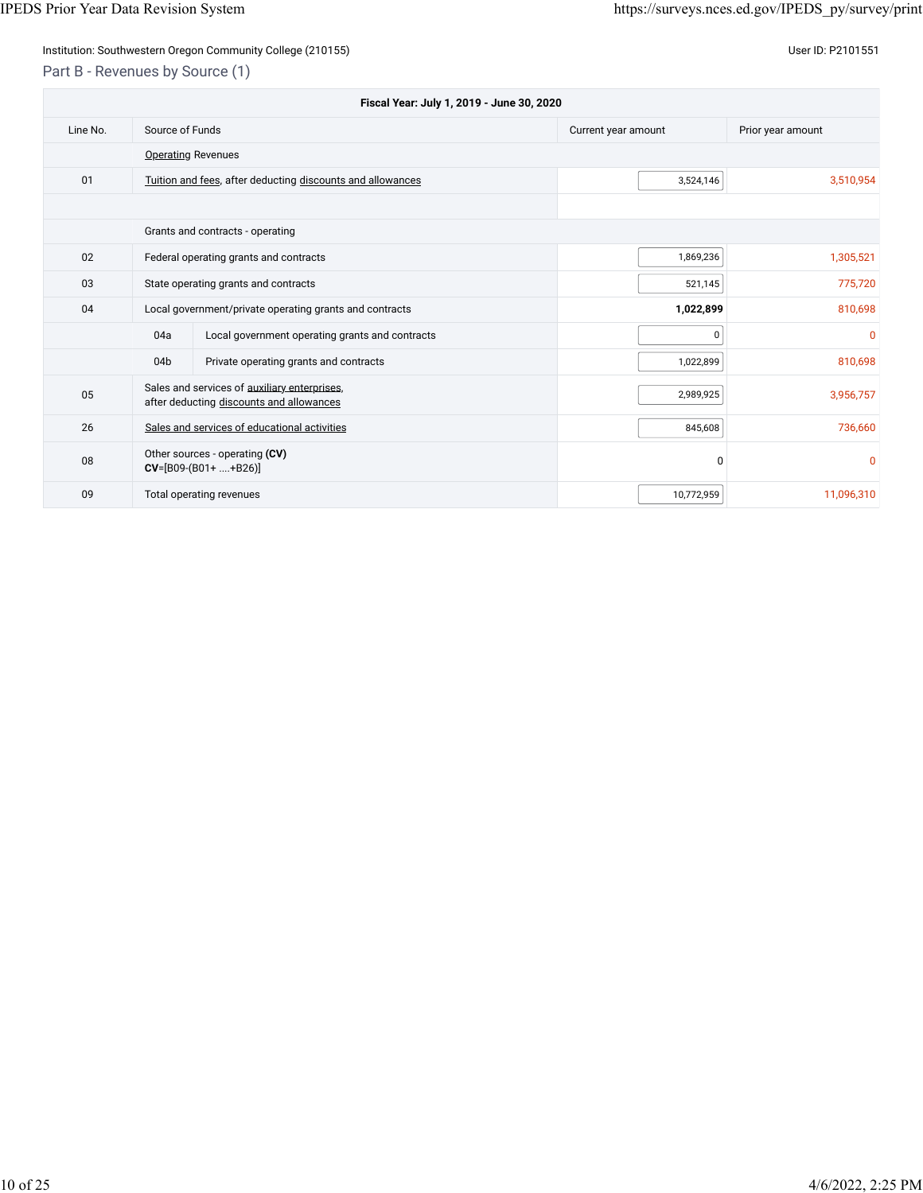Part B - Revenues by Source (1)

| Fiscal Year: July 1, 2019 - June 30, 2020 |                 |                                                                                          |                     |                   |
|-------------------------------------------|-----------------|------------------------------------------------------------------------------------------|---------------------|-------------------|
| Line No.                                  | Source of Funds |                                                                                          | Current year amount | Prior year amount |
|                                           |                 | <b>Operating Revenues</b>                                                                |                     |                   |
| 01                                        |                 | Tuition and fees, after deducting discounts and allowances                               | 3,524,146           | 3,510,954         |
|                                           |                 |                                                                                          |                     |                   |
|                                           |                 | Grants and contracts - operating                                                         |                     |                   |
| 02                                        |                 | Federal operating grants and contracts                                                   | 1,869,236           | 1,305,521         |
| 03                                        |                 | State operating grants and contracts                                                     | 521,145             | 775,720           |
| 04                                        |                 | Local government/private operating grants and contracts                                  | 1,022,899           | 810,698           |
|                                           | 04a             | Local government operating grants and contracts                                          | 0                   | $\mathbf{0}$      |
|                                           | 04 <sub>b</sub> | Private operating grants and contracts                                                   | 1,022,899           | 810,698           |
| 05                                        |                 | Sales and services of auxiliary enterprises,<br>after deducting discounts and allowances | 2,989,925           | 3,956,757         |
| 26                                        |                 | Sales and services of educational activities                                             | 845,608             | 736,660           |
| 08                                        |                 | Other sources - operating (CV)<br>$CV=[B09-(B01++B26)]$                                  | 0                   | $\mathbf{0}$      |
| 09                                        |                 | Total operating revenues                                                                 | 10,772,959          | 11,096,310        |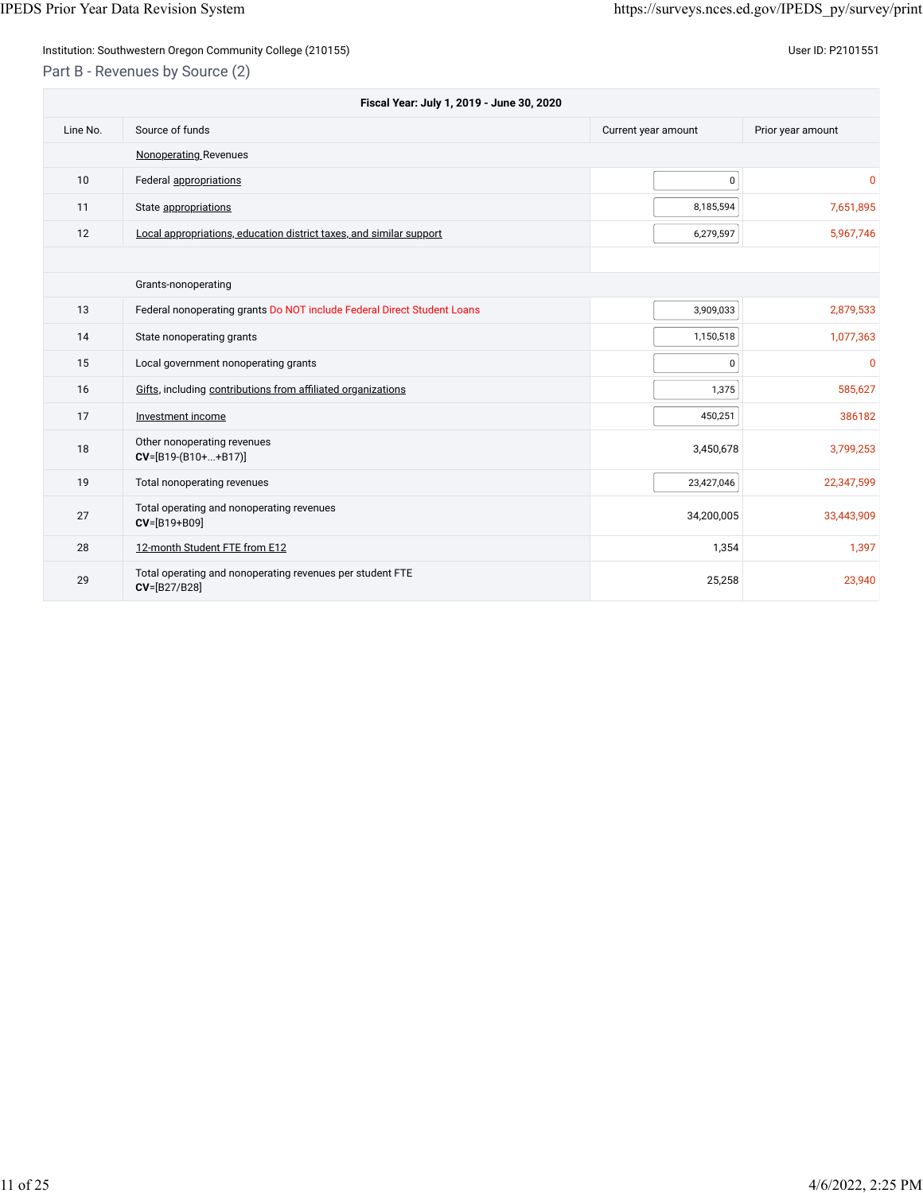Part B - Revenues by Source (2)

| Fiscal Year: July 1, 2019 - June 30, 2020 |                                                                           |                     |                   |  |
|-------------------------------------------|---------------------------------------------------------------------------|---------------------|-------------------|--|
| Line No.                                  | Source of funds                                                           | Current year amount | Prior year amount |  |
|                                           | <b>Nonoperating Revenues</b>                                              |                     |                   |  |
| 10                                        | Federal appropriations                                                    | 0                   | $\mathbf 0$       |  |
| 11                                        | State appropriations                                                      | 8,185,594           | 7,651,895         |  |
| 12                                        | Local appropriations, education district taxes, and similar support       | 6,279,597           | 5,967,746         |  |
|                                           |                                                                           |                     |                   |  |
|                                           | Grants-nonoperating                                                       |                     |                   |  |
| 13                                        | Federal nonoperating grants Do NOT include Federal Direct Student Loans   | 3,909,033           | 2,879,533         |  |
| 14                                        | State nonoperating grants                                                 | 1,150,518           | 1,077,363         |  |
| 15                                        | Local government nonoperating grants                                      | 0                   | $\overline{0}$    |  |
| 16                                        | Gifts, including contributions from affiliated organizations              | 1,375               | 585,627           |  |
| 17                                        | Investment income                                                         | 450,251             | 386182            |  |
| 18                                        | Other nonoperating revenues<br>$CV=[B19-(B10++B17)]$                      | 3,450,678           | 3,799,253         |  |
| 19                                        | Total nonoperating revenues                                               | 23,427,046          | 22,347,599        |  |
| 27                                        | Total operating and nonoperating revenues<br>CV=[B19+B09]                 | 34,200,005          | 33,443,909        |  |
| 28                                        | 12-month Student FTE from E12                                             | 1,354               | 1,397             |  |
| 29                                        | Total operating and nonoperating revenues per student FTE<br>CV=[B27/B28] | 25,258              | 23,940            |  |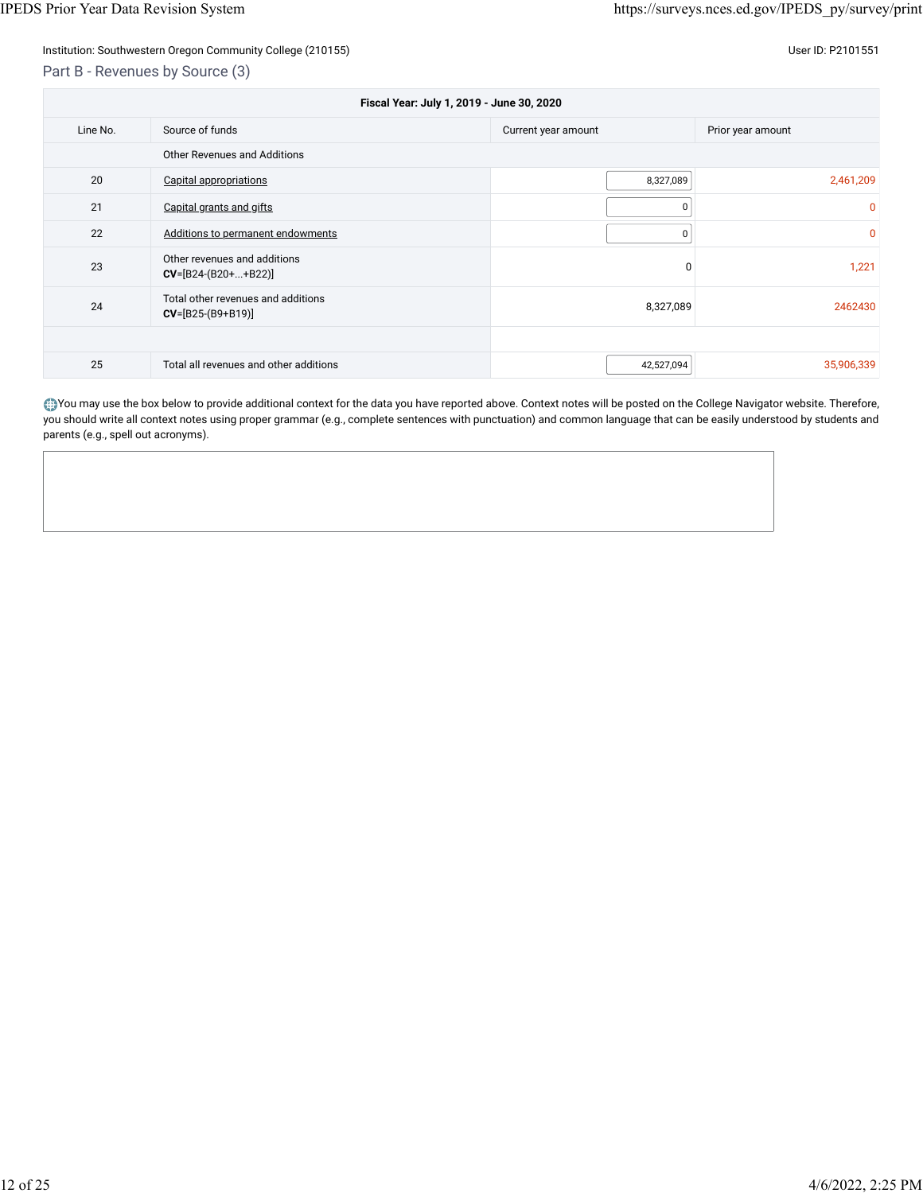Part B - Revenues by Source (3)

| Fiscal Year: July 1, 2019 - June 30, 2020 |                                                           |                     |                   |  |
|-------------------------------------------|-----------------------------------------------------------|---------------------|-------------------|--|
| Line No.                                  | Source of funds                                           | Current year amount | Prior year amount |  |
| <b>Other Revenues and Additions</b>       |                                                           |                     |                   |  |
| 20                                        | <b>Capital appropriations</b>                             | 8,327,089           | 2,461,209         |  |
| 21                                        | Capital grants and gifts                                  | 0                   | 0                 |  |
| 22                                        | Additions to permanent endowments                         | 0                   | $\overline{0}$    |  |
| 23                                        | Other revenues and additions<br>$CV=[B24-(B20++B22)]$     | 0                   | 1,221             |  |
| 24                                        | Total other revenues and additions<br>$CV=[B25-(B9+B19)]$ | 8,327,089           | 2462430           |  |
|                                           |                                                           |                     |                   |  |
| 25                                        | Total all revenues and other additions                    | 42,527,094          | 35,906,339        |  |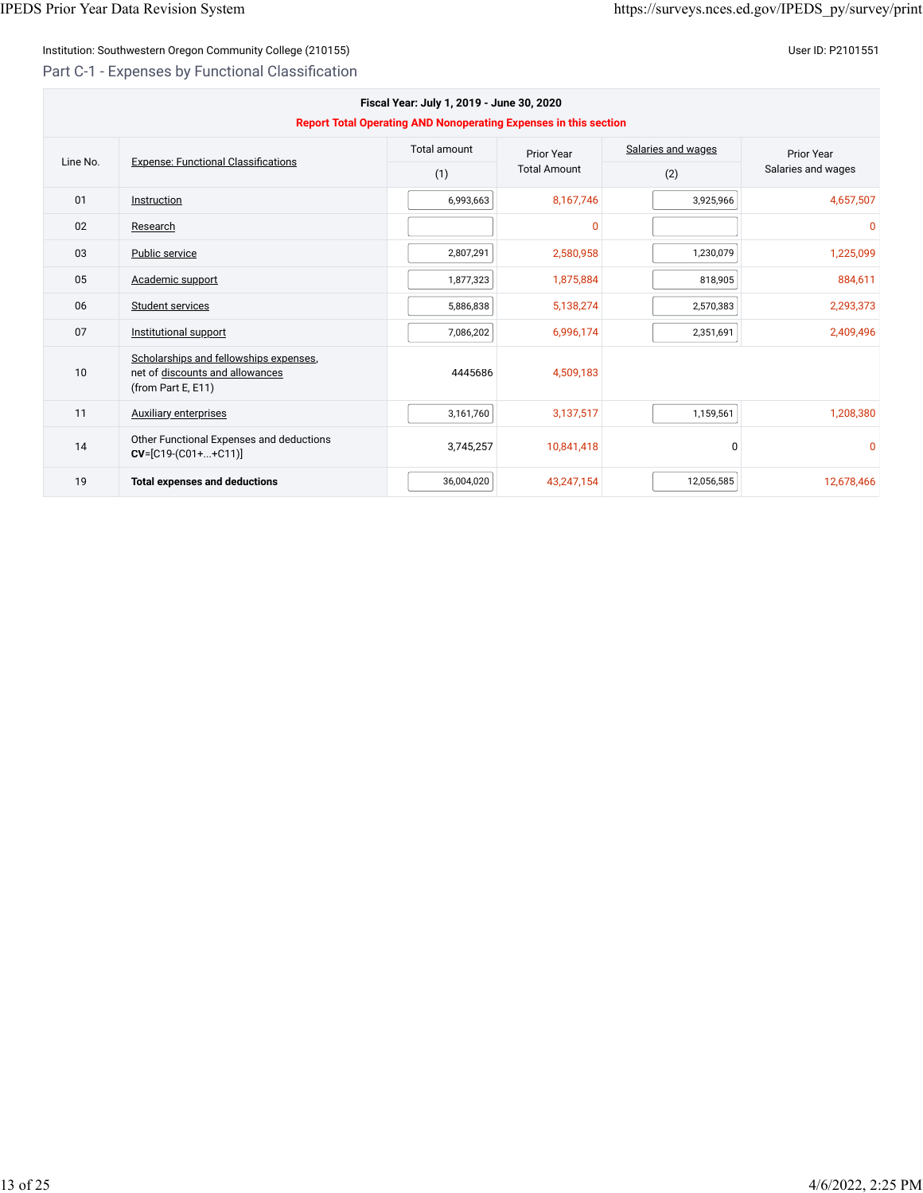Part C-1 - Expenses by Functional Classification

| Fiscal Year: July 1, 2019 - June 30, 2020<br>Report Total Operating AND Nonoperating Expenses in this section |                                                                                                 |                     |                     |                    |                    |
|---------------------------------------------------------------------------------------------------------------|-------------------------------------------------------------------------------------------------|---------------------|---------------------|--------------------|--------------------|
| Line No.                                                                                                      |                                                                                                 | <b>Total amount</b> | Prior Year          | Salaries and wages | <b>Prior Year</b>  |
|                                                                                                               | <b>Expense: Functional Classifications</b>                                                      | (1)                 | <b>Total Amount</b> | (2)                | Salaries and wages |
| 01                                                                                                            | Instruction                                                                                     | 6,993,663           | 8,167,746           | 3,925,966          | 4,657,507          |
| 02                                                                                                            | Research                                                                                        |                     | $\mathbf{0}$        |                    | $\mathbf{0}$       |
| 03                                                                                                            | Public service                                                                                  | 2,807,291           | 2,580,958           | 1,230,079          | 1,225,099          |
| 05                                                                                                            | Academic support                                                                                | 1,877,323           | 1,875,884           | 818,905            | 884,611            |
| 06                                                                                                            | Student services                                                                                | 5,886,838           | 5,138,274           | 2,570,383          | 2,293,373          |
| 07                                                                                                            | Institutional support                                                                           | 7,086,202           | 6,996,174           | 2,351,691          | 2,409,496          |
| 10                                                                                                            | Scholarships and fellowships expenses,<br>net of discounts and allowances<br>(from Part E, E11) | 4445686             | 4,509,183           |                    |                    |
| 11                                                                                                            | <b>Auxiliary enterprises</b>                                                                    | 3,161,760           | 3,137,517           | 1,159,561          | 1,208,380          |
| 14                                                                                                            | Other Functional Expenses and deductions<br>$CV=[C19-(C01++C11)]$                               | 3,745,257           | 10,841,418          | $\Omega$           | $\Omega$           |
| 19                                                                                                            | <b>Total expenses and deductions</b>                                                            | 36,004,020          | 43,247,154          | 12,056,585         | 12,678,466         |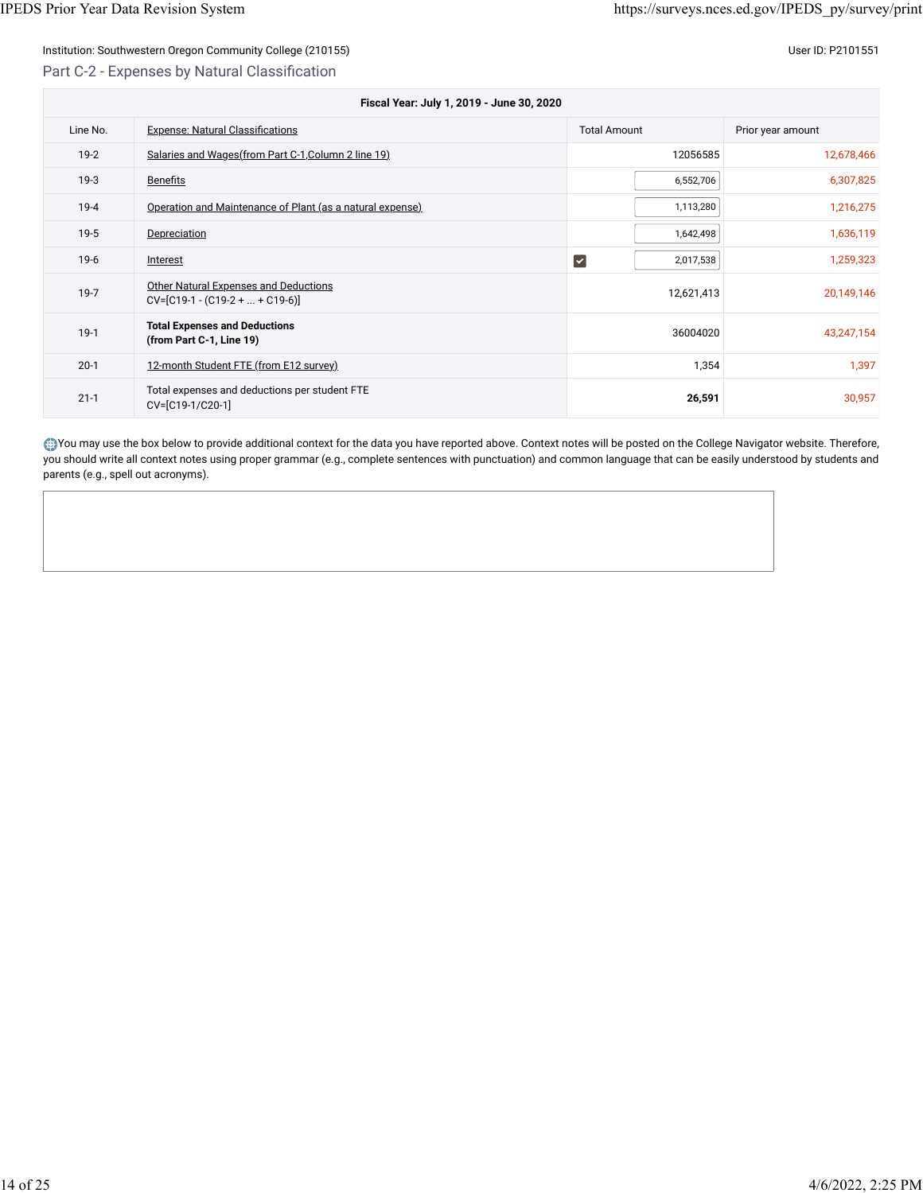## Institution: Southwestern Oregon Community College (210155) Contract the Contract of Contract of Contract of Co Part C-2 - Expenses by Natural Classification

| Fiscal Year: July 1, 2019 - June 30, 2020 |                                                                      |                                   |                   |  |
|-------------------------------------------|----------------------------------------------------------------------|-----------------------------------|-------------------|--|
| Line No.                                  | <b>Expense: Natural Classifications</b>                              | <b>Total Amount</b>               | Prior year amount |  |
| $19-2$                                    | Salaries and Wages (from Part C-1, Column 2 line 19)                 | 12056585                          | 12,678,466        |  |
| $19-3$                                    | <b>Benefits</b>                                                      | 6,552,706                         | 6,307,825         |  |
| $19 - 4$                                  | Operation and Maintenance of Plant (as a natural expense)            | 1,113,280                         | 1,216,275         |  |
| $19-5$                                    | Depreciation                                                         | 1,642,498                         | 1,636,119         |  |
| $19-6$                                    | Interest                                                             | $\blacktriangledown$<br>2,017,538 | 1,259,323         |  |
| $19 - 7$                                  | Other Natural Expenses and Deductions<br>$CV=[C19-1-(C19-2++C19-6)]$ | 12,621,413                        | 20,149,146        |  |
| $19-1$                                    | <b>Total Expenses and Deductions</b><br>(from Part C-1, Line 19)     | 36004020                          | 43,247,154        |  |
| $20-1$                                    | 12-month Student FTE (from E12 survey)                               | 1,354                             | 1,397             |  |
| $21 - 1$                                  | Total expenses and deductions per student FTE<br>CV=[C19-1/C20-1]    | 26,591                            | 30,957            |  |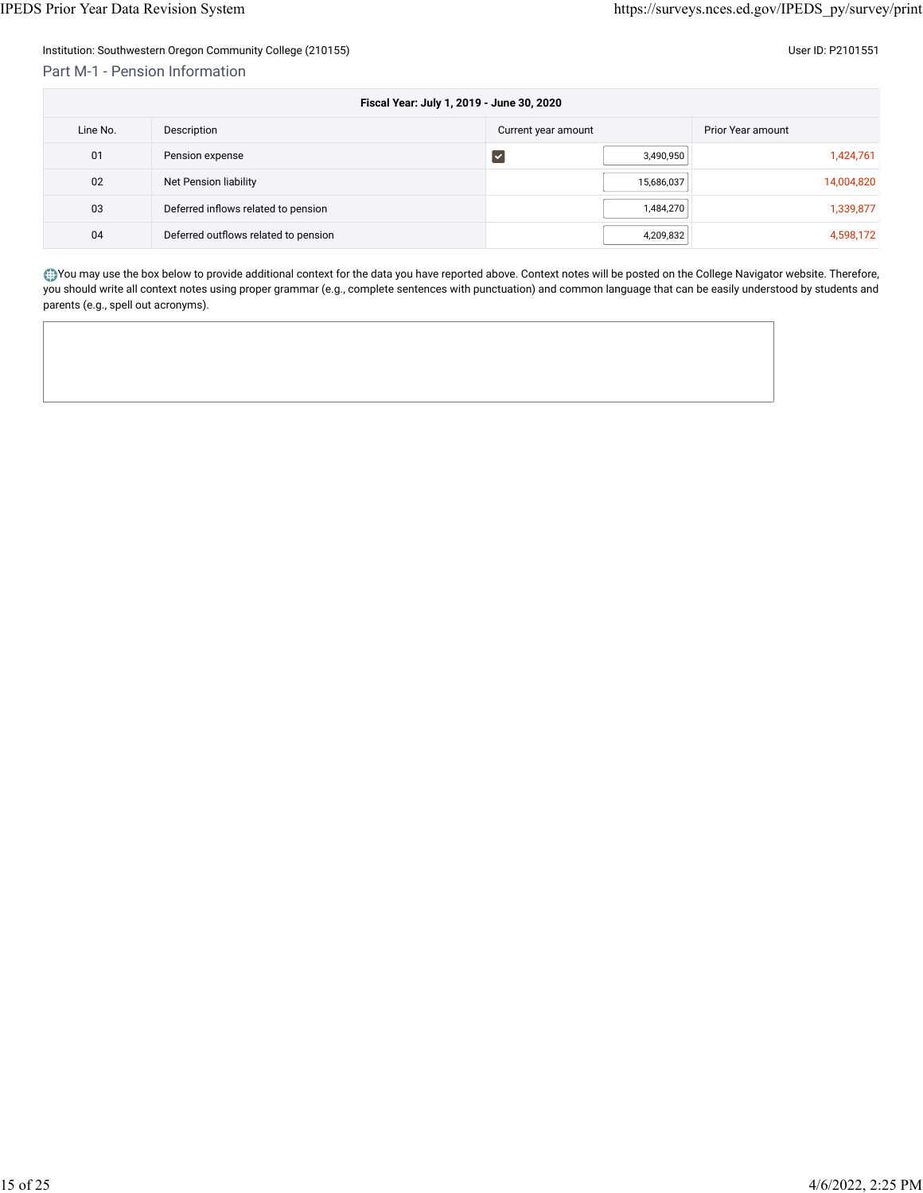#### Part M-1 - Pension Information

| Fiscal Year: July 1, 2019 - June 30, 2020 |                                      |                      |            |                   |
|-------------------------------------------|--------------------------------------|----------------------|------------|-------------------|
| Line No.                                  | Description                          | Current year amount  |            | Prior Year amount |
| 01                                        | Pension expense                      | $\blacktriangledown$ | 3,490,950  | 1,424,761         |
| 02                                        | Net Pension liability                |                      | 15,686,037 | 14,004,820        |
| 03                                        | Deferred inflows related to pension  |                      | 1,484,270  | 1,339,877         |
| 04                                        | Deferred outflows related to pension |                      | 4,209,832  | 4,598,172         |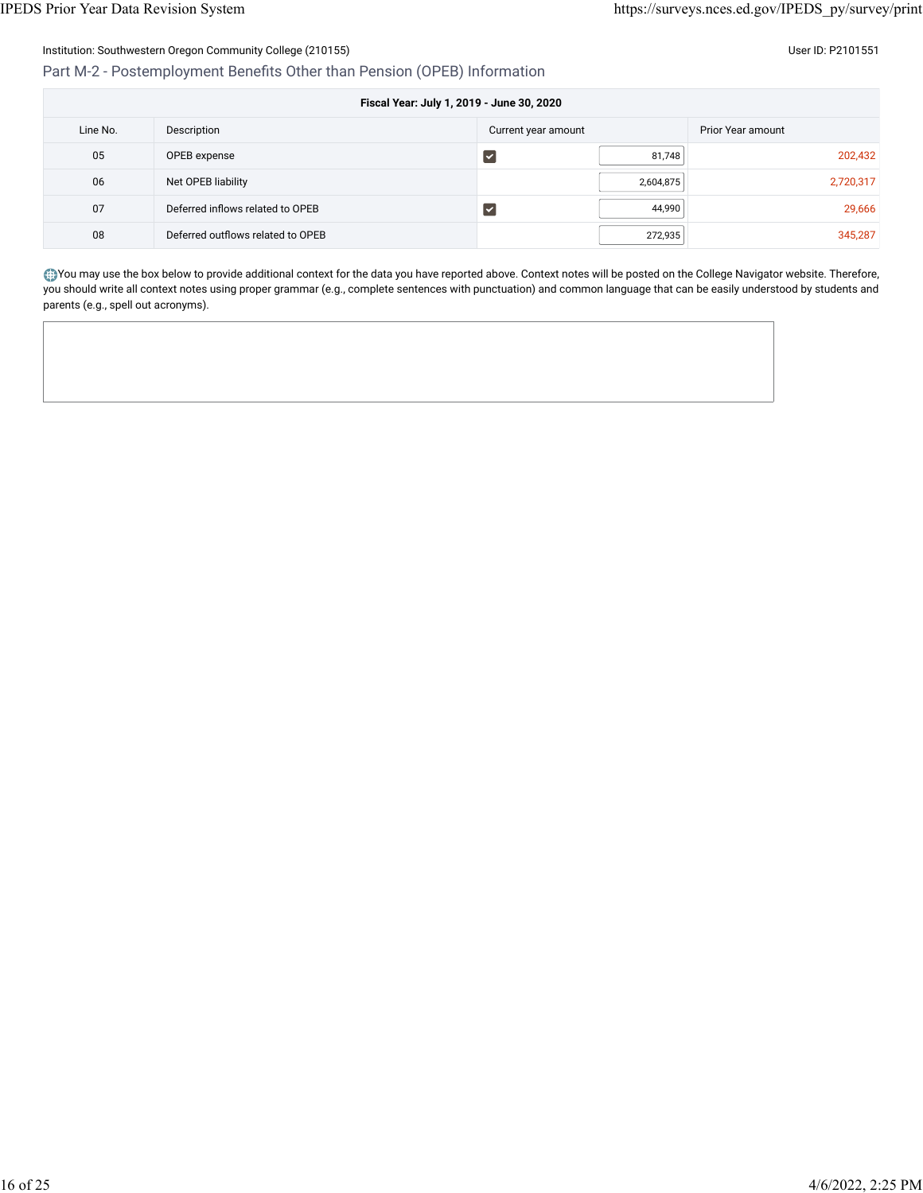Part M-2 - Postemployment Benefits

| Other than Pension (OPEB) Information     |                     |       |                          |         |  |  |
|-------------------------------------------|---------------------|-------|--------------------------|---------|--|--|
| Fiscal Year: July 1, 2019 - June 30, 2020 |                     |       |                          |         |  |  |
|                                           | Current year amount |       | <b>Prior Year amount</b> |         |  |  |
|                                           |                     | 01740 |                          | non 100 |  |  |

| Line No. | Description                       | Current year amount |           | Prior Year amount |
|----------|-----------------------------------|---------------------|-----------|-------------------|
| 05       | OPEB expense                      |                     | 81,748    | 202,432           |
| 06       | Net OPEB liability                |                     | 2,604,875 | 2,720,317         |
| 07       | Deferred inflows related to OPEB  |                     | 44,990    | 29,666            |
| 08       | Deferred outflows related to OPEB |                     | 272,935   | 345,287           |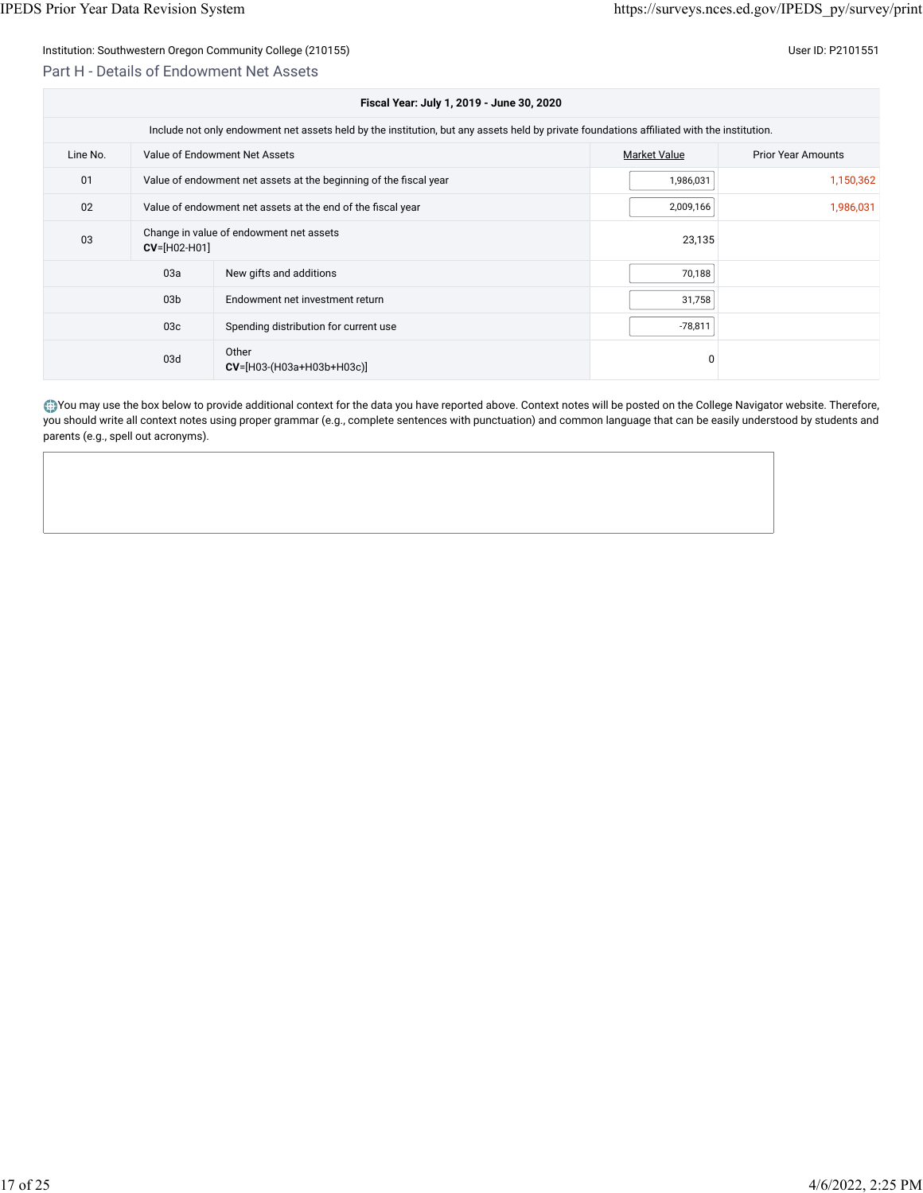## Part H - Details of Endowment Net Assets

| Fiscal Year: July 1, 2019 - June 30, 2020 |                                                                                                                                            |                                                                   |                     |                           |  |  |  |
|-------------------------------------------|--------------------------------------------------------------------------------------------------------------------------------------------|-------------------------------------------------------------------|---------------------|---------------------------|--|--|--|
|                                           | Include not only endowment net assets held by the institution, but any assets held by private foundations affiliated with the institution. |                                                                   |                     |                           |  |  |  |
| Line No.                                  |                                                                                                                                            | Value of Endowment Net Assets                                     | <b>Market Value</b> | <b>Prior Year Amounts</b> |  |  |  |
| 01                                        |                                                                                                                                            | Value of endowment net assets at the beginning of the fiscal year | 1,986,031           | 1,150,362                 |  |  |  |
| 02                                        | Value of endowment net assets at the end of the fiscal year                                                                                |                                                                   | 2,009,166           | 1,986,031                 |  |  |  |
| 03                                        | Change in value of endowment net assets<br>$CV=[H02-H01]$                                                                                  |                                                                   | 23,135              |                           |  |  |  |
|                                           | 03a                                                                                                                                        | New gifts and additions                                           | 70,188              |                           |  |  |  |
|                                           | 03 <sub>b</sub>                                                                                                                            | Endowment net investment return                                   | 31,758              |                           |  |  |  |
|                                           | 03 <sub>c</sub>                                                                                                                            | Spending distribution for current use                             | $-78,811$           |                           |  |  |  |
|                                           | 03d                                                                                                                                        | Other<br>$CV=[H03-(H03a+H03b+H03c)]$                              | 0                   |                           |  |  |  |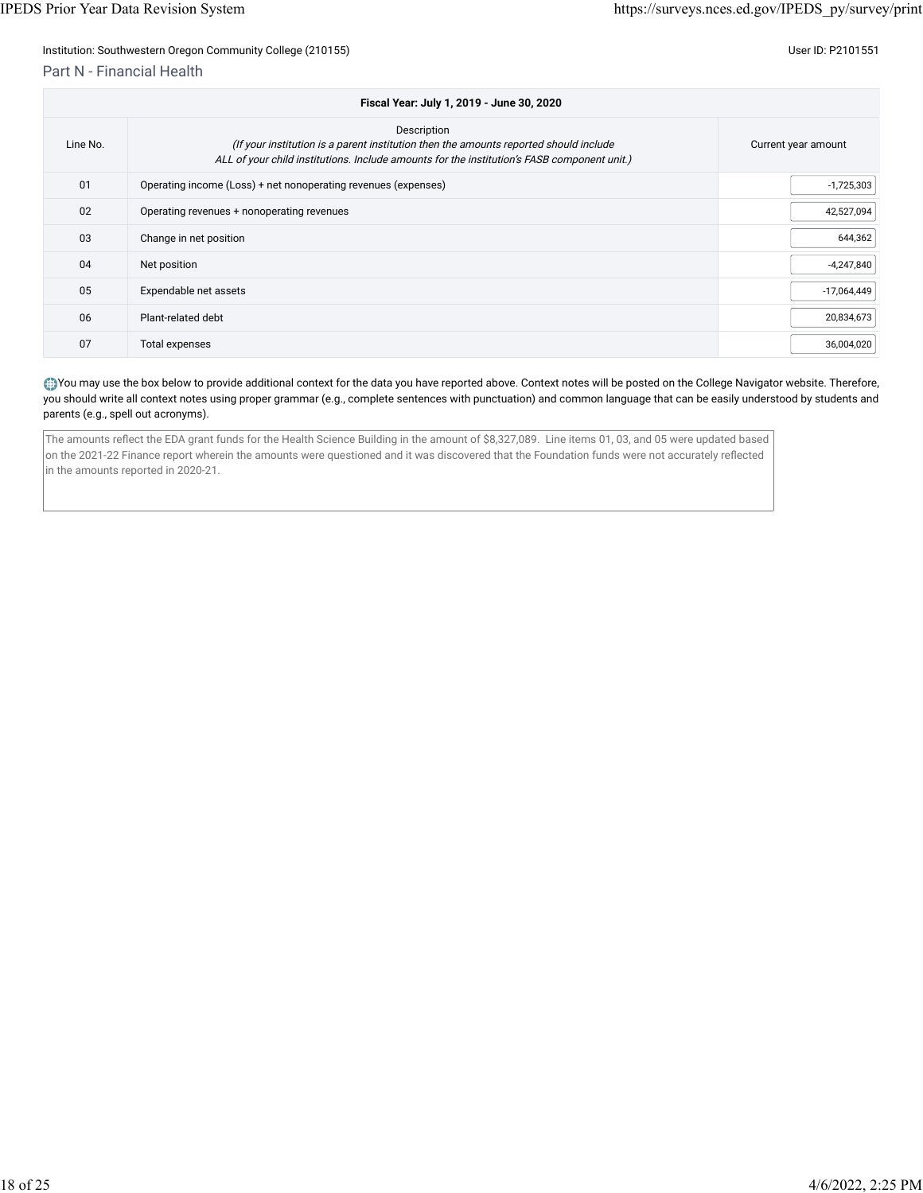Part N - Financial Health

| Fiscal Year: July 1, 2019 - June 30, 2020 |                                                                                                                                                                                                     |                     |  |  |
|-------------------------------------------|-----------------------------------------------------------------------------------------------------------------------------------------------------------------------------------------------------|---------------------|--|--|
| Line No.                                  | Description<br>(If your institution is a parent institution then the amounts reported should include<br>ALL of your child institutions. Include amounts for the institution's FASB component unit.) | Current year amount |  |  |
| 01                                        | Operating income (Loss) + net nonoperating revenues (expenses)                                                                                                                                      | $-1,725,303$        |  |  |
| 02                                        | Operating revenues + nonoperating revenues                                                                                                                                                          | 42,527,094          |  |  |
| 03                                        | Change in net position                                                                                                                                                                              | 644,362             |  |  |
| 04                                        | Net position                                                                                                                                                                                        | $-4,247,840$        |  |  |
| 05                                        | Expendable net assets                                                                                                                                                                               | $-17,064,449$       |  |  |
| 06                                        | Plant-related debt                                                                                                                                                                                  | 20,834,673          |  |  |
| 07                                        | Total expenses                                                                                                                                                                                      | 36,004,020          |  |  |

#### You may use the box below to provide additional context for the data you have reported above. Context notes will be posted on the College Navigator website. Therefore, you should write all context notes using proper grammar (e.g., complete sentences with punctuation) and common language that can be easily understood by students and parents (e.g., spell out acronyms).

The amounts reflect the EDA grant funds for the Health Science Building in the amount of \$8,327,089. Line items 01, 03, and 05 were updated based on the 2021-22 Finance report wherein the amounts were questioned and it was discovered that the Foundation funds were not accurately reflected in the amounts reported in 2020-21.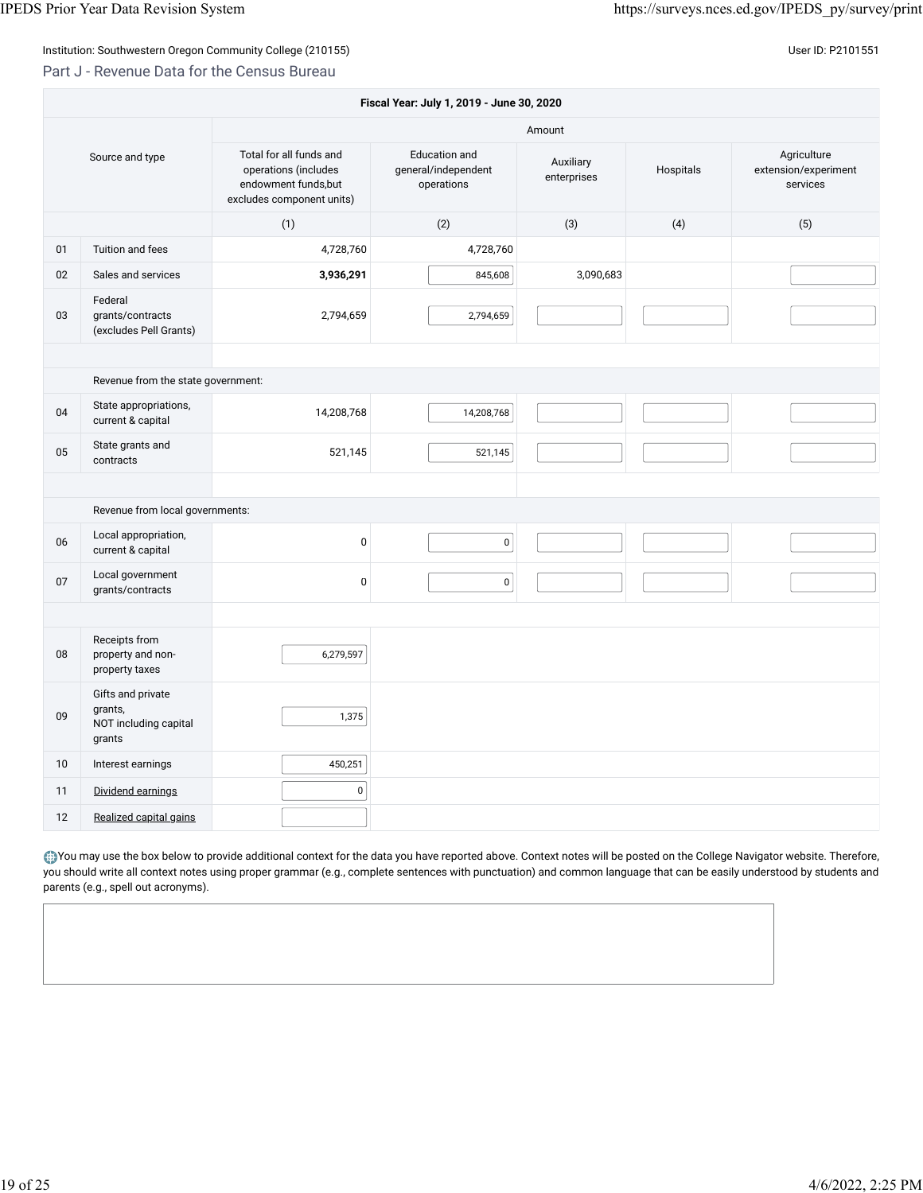### Part J - Revenue Data for the Census Bureau

| Fiscal Year: July 1, 2019 - June 30, 2020 |                                                                 |                                                                                                      |                                                    |                          |           |                                                 |
|-------------------------------------------|-----------------------------------------------------------------|------------------------------------------------------------------------------------------------------|----------------------------------------------------|--------------------------|-----------|-------------------------------------------------|
|                                           |                                                                 |                                                                                                      |                                                    | Amount                   |           |                                                 |
| Source and type                           |                                                                 | Total for all funds and<br>operations (includes<br>endowment funds, but<br>excludes component units) | Education and<br>general/independent<br>operations | Auxiliary<br>enterprises | Hospitals | Agriculture<br>extension/experiment<br>services |
|                                           |                                                                 | (1)                                                                                                  | (2)                                                | (3)                      | (4)       | (5)                                             |
| 01                                        | Tuition and fees                                                | 4,728,760                                                                                            | 4,728,760                                          |                          |           |                                                 |
| 02                                        | Sales and services                                              | 3,936,291                                                                                            | 845,608                                            | 3,090,683                |           |                                                 |
| 03                                        | Federal<br>grants/contracts<br>(excludes Pell Grants)           | 2,794,659                                                                                            | 2,794,659                                          |                          |           |                                                 |
|                                           |                                                                 |                                                                                                      |                                                    |                          |           |                                                 |
|                                           | Revenue from the state government:                              |                                                                                                      |                                                    |                          |           |                                                 |
| 04                                        | State appropriations,<br>current & capital                      | 14,208,768                                                                                           | 14,208,768                                         |                          |           |                                                 |
| 05                                        | State grants and<br>contracts                                   | 521,145                                                                                              | 521,145                                            |                          |           |                                                 |
|                                           |                                                                 |                                                                                                      |                                                    |                          |           |                                                 |
|                                           | Revenue from local governments:                                 |                                                                                                      |                                                    |                          |           |                                                 |
| 06                                        | Local appropriation,<br>current & capital                       | $\pmb{0}$                                                                                            | $\pmb{0}$                                          |                          |           |                                                 |
| 07                                        | Local government<br>grants/contracts                            | $\pmb{0}$                                                                                            | $\pmb{0}$                                          |                          |           |                                                 |
|                                           |                                                                 |                                                                                                      |                                                    |                          |           |                                                 |
| 08                                        | Receipts from<br>property and non-<br>property taxes            | 6,279,597                                                                                            |                                                    |                          |           |                                                 |
| 09                                        | Gifts and private<br>grants,<br>NOT including capital<br>grants | 1,375                                                                                                |                                                    |                          |           |                                                 |
| 10                                        | Interest earnings                                               | 450,251                                                                                              |                                                    |                          |           |                                                 |
| 11                                        | Dividend earnings                                               | 0                                                                                                    |                                                    |                          |           |                                                 |
| 12                                        | Realized capital gains                                          |                                                                                                      |                                                    |                          |           |                                                 |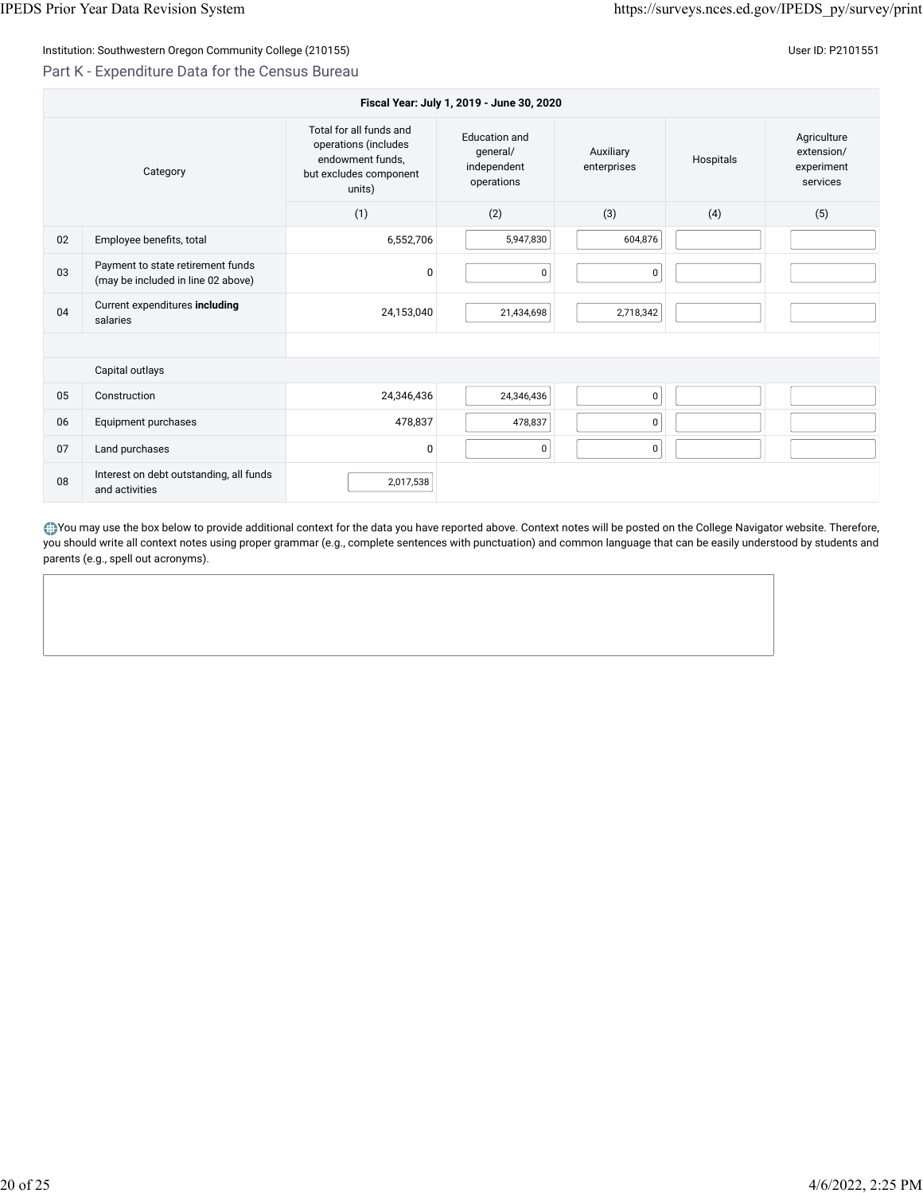## Part K - Expenditure Data for the Census Bureau

| Fiscal Year: July 1, 2019 - June 30, 2020 |                                                                         |                                                                                                         |                                                        |                          |           |                                                     |  |
|-------------------------------------------|-------------------------------------------------------------------------|---------------------------------------------------------------------------------------------------------|--------------------------------------------------------|--------------------------|-----------|-----------------------------------------------------|--|
| Category                                  |                                                                         | Total for all funds and<br>operations (includes<br>endowment funds,<br>but excludes component<br>units) | Education and<br>qeneral/<br>independent<br>operations | Auxiliary<br>enterprises | Hospitals | Agriculture<br>extension/<br>experiment<br>services |  |
|                                           |                                                                         | (1)                                                                                                     | (2)                                                    | (3)                      | (4)       | (5)                                                 |  |
| 02                                        | Employee benefits, total                                                | 6,552,706                                                                                               | 5,947,830                                              | 604,876                  |           |                                                     |  |
| 03                                        | Payment to state retirement funds<br>(may be included in line 02 above) | 0                                                                                                       | $\mathbf 0$                                            | $\pmb{0}$                |           |                                                     |  |
| 04                                        | Current expenditures including<br>salaries                              | 24,153,040                                                                                              | 21,434,698                                             | 2,718,342                |           |                                                     |  |
|                                           |                                                                         |                                                                                                         |                                                        |                          |           |                                                     |  |
|                                           | Capital outlays                                                         |                                                                                                         |                                                        |                          |           |                                                     |  |
| 05                                        | Construction                                                            | 24,346,436                                                                                              | 24,346,436                                             | $\mathbf 0$              |           |                                                     |  |
| 06                                        | Equipment purchases                                                     | 478,837                                                                                                 | 478,837                                                | $\mathbf 0$              |           |                                                     |  |
| 07                                        | Land purchases                                                          | $\mathbf{0}$                                                                                            | 0                                                      | 0                        |           |                                                     |  |
| 08                                        | Interest on debt outstanding, all funds<br>and activities               | 2,017,538                                                                                               |                                                        |                          |           |                                                     |  |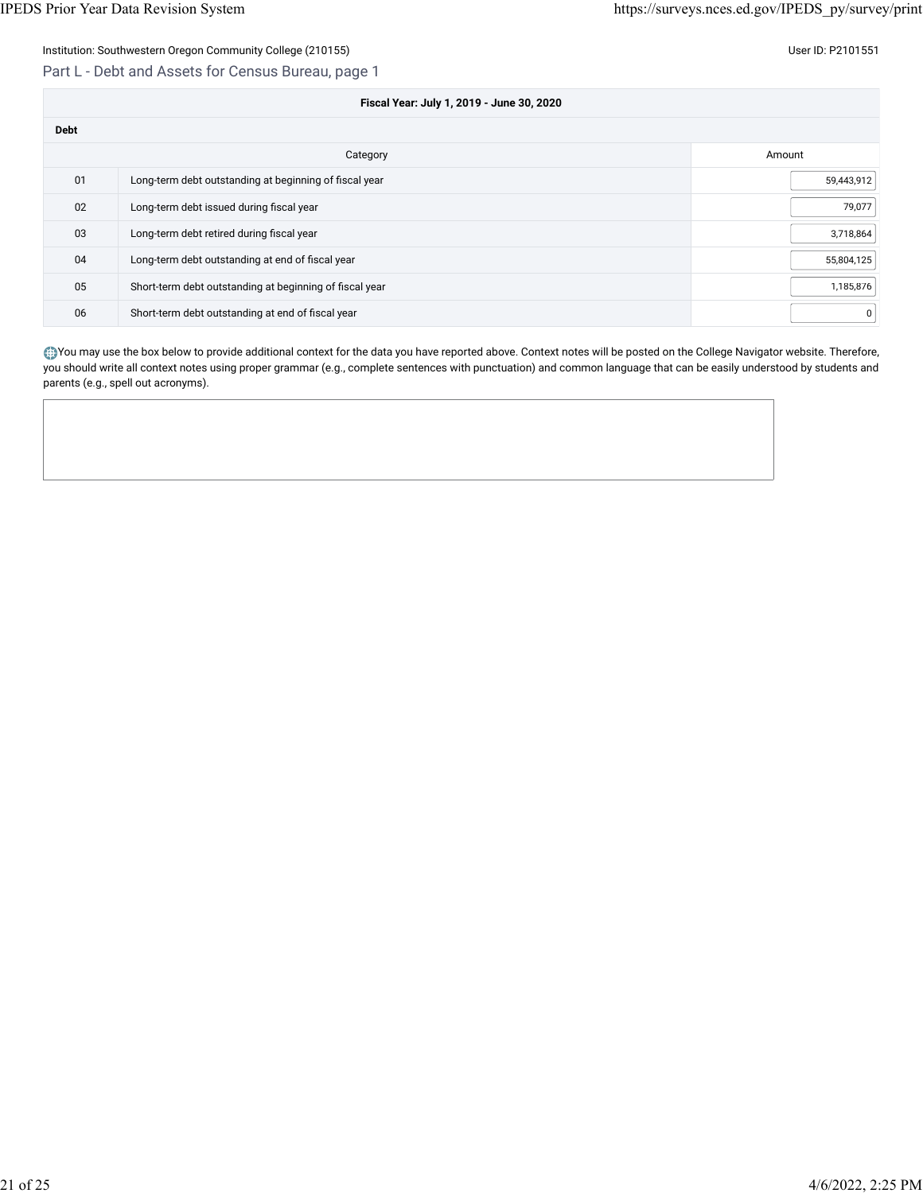Part L - Debt and Assets for Census Bureau, page 1

| Fiscal Year: July 1, 2019 - June 30, 2020 |                                                         |            |  |
|-------------------------------------------|---------------------------------------------------------|------------|--|
| <b>Debt</b>                               |                                                         |            |  |
|                                           | Category                                                | Amount     |  |
| 01                                        | Long-term debt outstanding at beginning of fiscal year  | 59,443,912 |  |
| 02                                        | Long-term debt issued during fiscal year                | 79,077     |  |
| 03                                        | Long-term debt retired during fiscal year               | 3,718,864  |  |
| 04                                        | Long-term debt outstanding at end of fiscal year        | 55,804,125 |  |
| 05                                        | Short-term debt outstanding at beginning of fiscal year | 1,185,876  |  |
| 06                                        | Short-term debt outstanding at end of fiscal year       | 0          |  |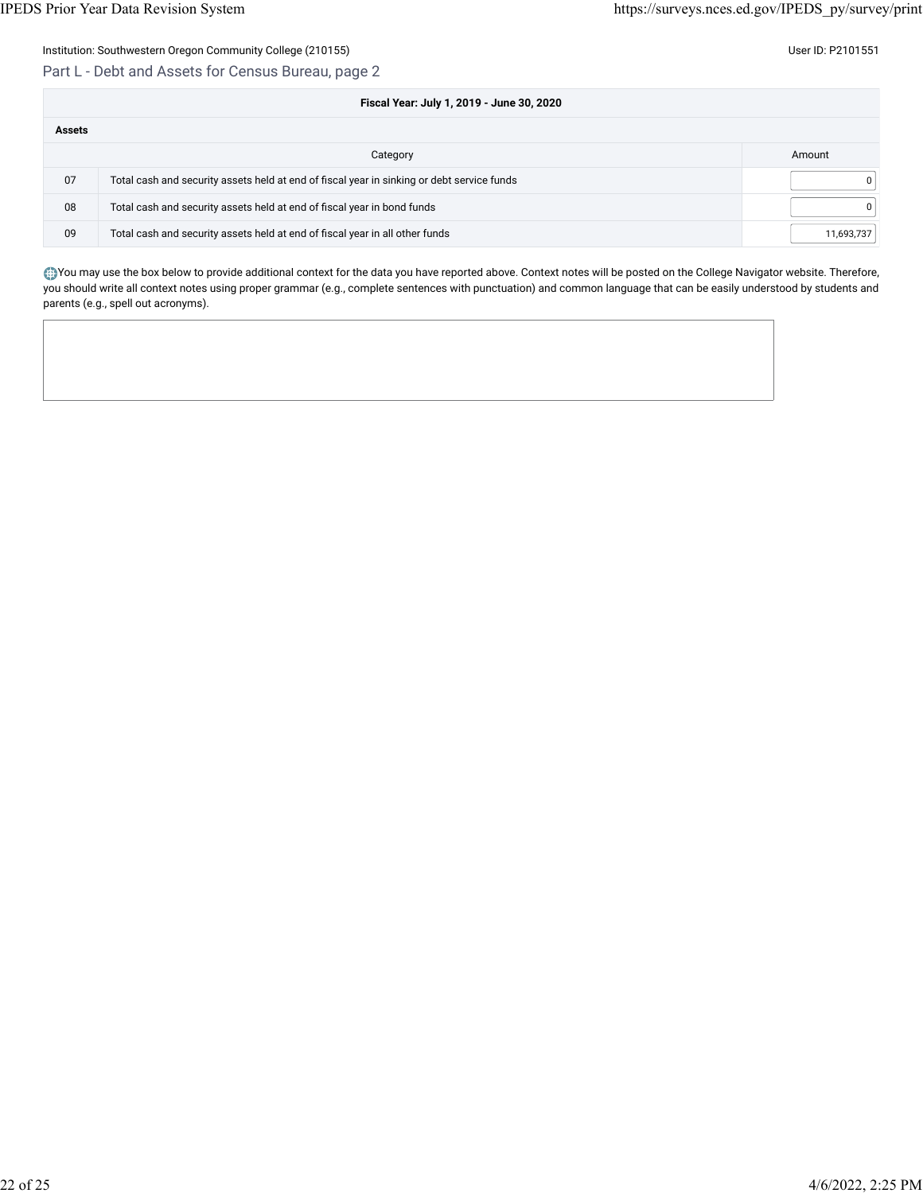Part L - Debt and Assets for Census Bureau, page 2

|               | Fiscal Year: July 1, 2019 - June 30, 2020                                                  |              |  |  |  |
|---------------|--------------------------------------------------------------------------------------------|--------------|--|--|--|
| <b>Assets</b> |                                                                                            |              |  |  |  |
|               | Category                                                                                   | Amount       |  |  |  |
| 07            | Total cash and security assets held at end of fiscal year in sinking or debt service funds | 0            |  |  |  |
| 08            | Total cash and security assets held at end of fiscal year in bond funds                    | $\mathbf{0}$ |  |  |  |
| 09            | Total cash and security assets held at end of fiscal year in all other funds               | 11,693,737   |  |  |  |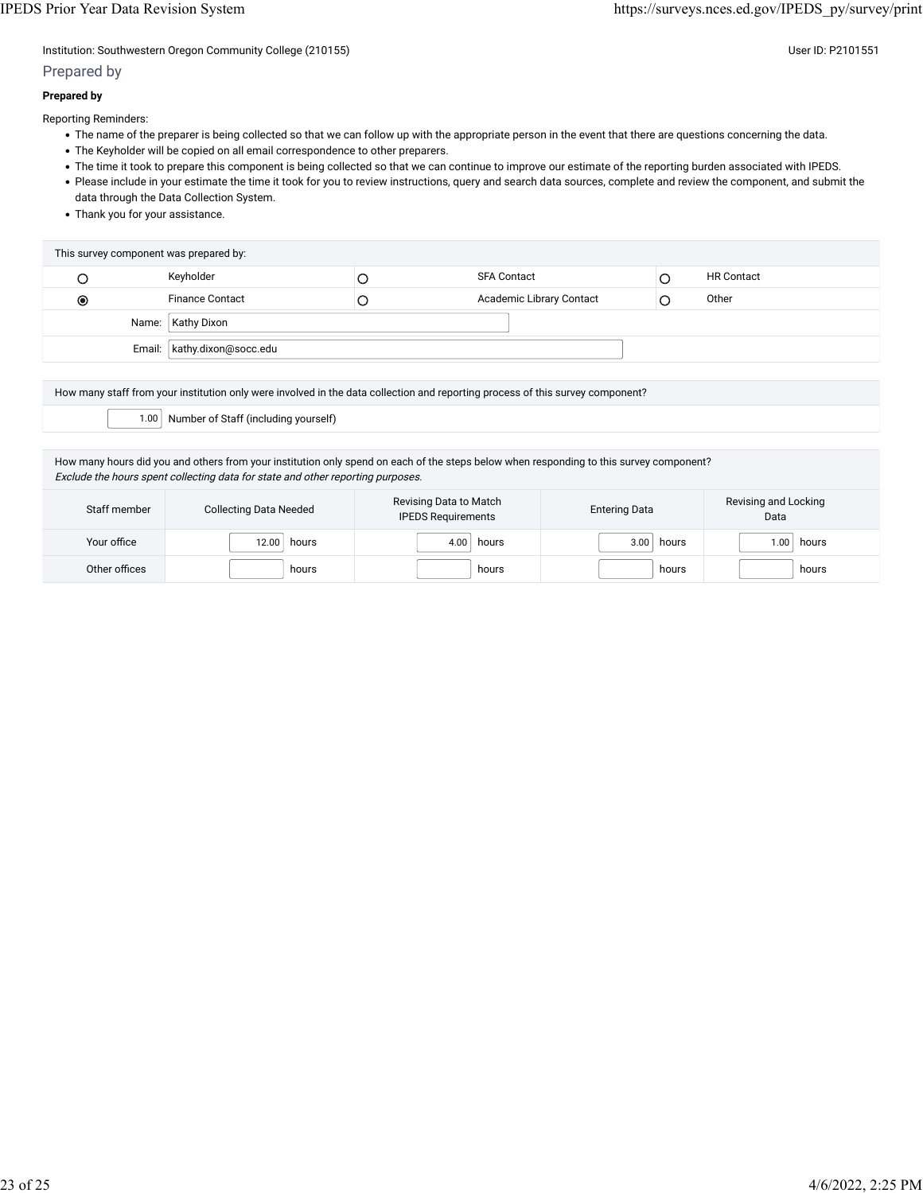Institution: Southwestern Oregon Community College (210155) Community College (210155)

## Prepared by

## **Prepared by**

Reporting Reminders:

- The name of the preparer is being collected so that we can follow up with the appropriate person in the event that there are questions concerning the data.
- The Keyholder will be copied on all email correspondence to other preparers.
- The time it took to prepare this component is being collected so that we can continue to improve our estimate of the reporting burden associated with IPEDS.
- Please include in your estimate the time it took for you to review instructions, query and search data sources, complete and review the component, and submit the data through the Data Collection System.
- Thank you for your assistance.

| Keyholder<br><b>SFA Contact</b><br>└                                         | <b>HR Contact</b> |
|------------------------------------------------------------------------------|-------------------|
| Academic Library Contact<br><b>Finance Contact</b><br>$_{\circledcirc}$<br>C | Other             |
| Name:   Kathy Dixon                                                          |                   |
| Email:   kathy.dixon@socc.edu                                                |                   |

How many staff from your institution only were involved in the data collection and reporting process of this survey component?

1.00 Number of Staff (including yourself)

How many hours did you and others from your institution only spend on each of the steps below when responding to this survey component? Exclude the hours spent collecting data for state and other reporting purposes.

| Staff member  | <b>Collecting Data Needed</b> | Revising Data to Match<br><b>IPEDS Requirements</b> | <b>Entering Data</b> | Revising and Locking<br>Data |
|---------------|-------------------------------|-----------------------------------------------------|----------------------|------------------------------|
| Your office   | 12.00<br>hours                | hours<br>4.00                                       | 3.00<br>hours        | hours<br>1.00 <sub>1</sub>   |
| Other offices | hours                         | hours                                               | hours                | hours                        |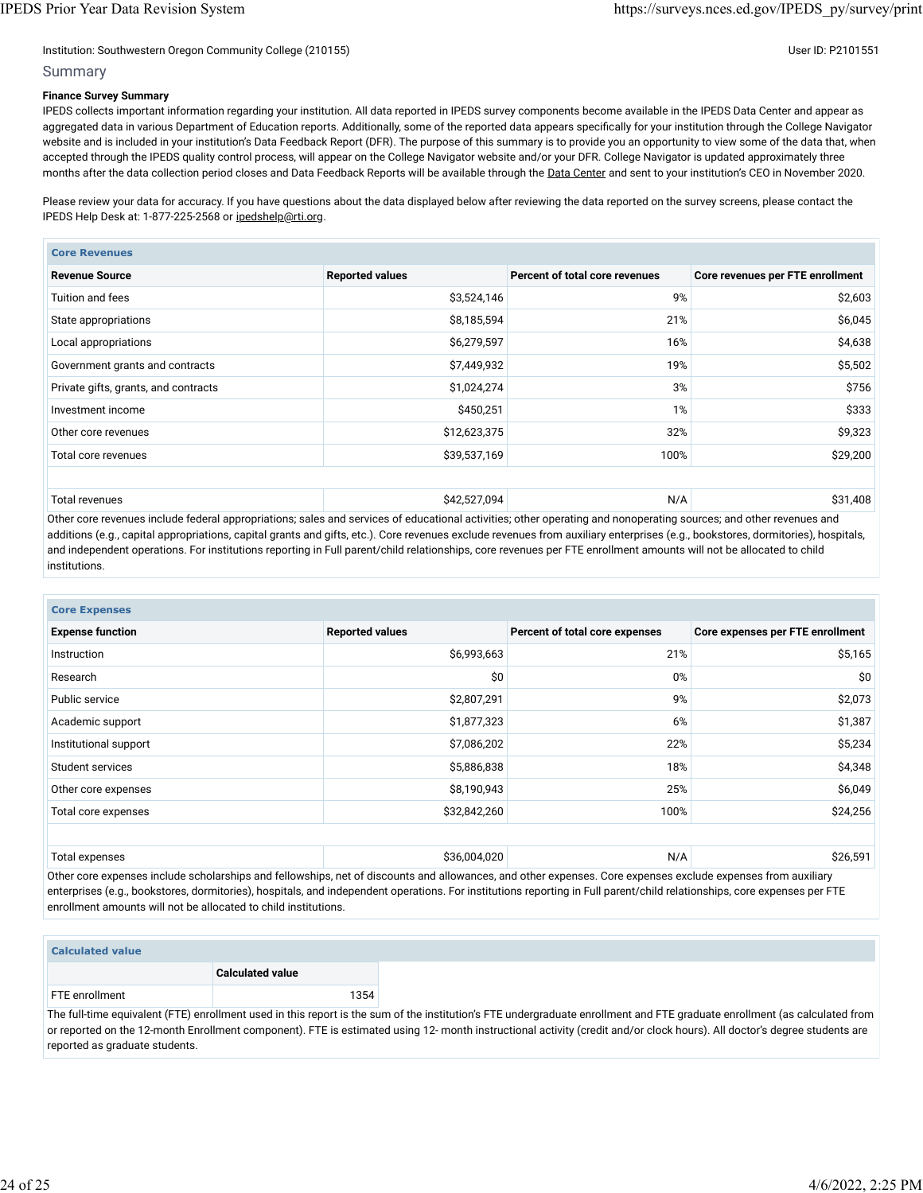#### Institution: Southwestern Oregon Community College (210155) Community College (210155)

#### Summary

#### **Finance Survey Summary**

IPEDS collects important information regarding your institution. All data reported in IPEDS survey components become available in the IPEDS Data Center and appear as aggregated data in various Department of Education reports. Additionally, some of the reported data appears specifically for your institution through the College Navigator website and is included in your institution's Data Feedback Report (DFR). The purpose of this summary is to provide you an opportunity to view some of the data that, when accepted through the IPEDS quality control process, will appear on the College Navigator website and/or your DFR. College Navigator is updated approximately three months after the data collection period closes and Data Feedback Reports will be available through the [Data Center](https://nces.ed.gov/ipeds/use-the-data) and sent to your institution's CEO in November 2020.

Please review your data for accuracy. If you have questions about the data displayed below after reviewing the data reported on the survey screens, please contact the IPEDS Help Desk at: 1-877-225-2568 or [ipedshelp@rti.org.](mailto:ipedshelp@rti.org)

| <b>Core Revenues</b>                 |                        |                                |                                  |  |  |
|--------------------------------------|------------------------|--------------------------------|----------------------------------|--|--|
| <b>Revenue Source</b>                | <b>Reported values</b> | Percent of total core revenues | Core revenues per FTE enrollment |  |  |
| Tuition and fees                     | \$3,524,146            | 9%                             | \$2,603                          |  |  |
| State appropriations                 | \$8,185,594            | 21%                            | \$6,045                          |  |  |
| Local appropriations                 | \$6,279,597            | 16%                            | \$4,638                          |  |  |
| Government grants and contracts      | \$7,449,932            | 19%                            | \$5,502                          |  |  |
| Private gifts, grants, and contracts | \$1,024,274            | 3%                             | \$756                            |  |  |
| Investment income                    | \$450,251              | 1%                             | \$333                            |  |  |
| Other core revenues                  | \$12,623,375           | 32%                            | \$9,323                          |  |  |
| Total core revenues                  | \$39,537,169           | 100%                           | \$29,200                         |  |  |
|                                      |                        |                                |                                  |  |  |
| Total revenues                       | \$42,527,094           | N/A                            | \$31,408                         |  |  |

Other core revenues include federal appropriations; sales and services of educational activities; other operating and nonoperating sources; and other revenues and additions (e.g., capital appropriations, capital grants and gifts, etc.). Core revenues exclude revenues from auxiliary enterprises (e.g., bookstores, dormitories), hospitals, and independent operations. For institutions reporting in Full parent/child relationships, core revenues per FTE enrollment amounts will not be allocated to child institutions.

| <b>Core Expenses</b>    |                        |                                |                                  |  |  |
|-------------------------|------------------------|--------------------------------|----------------------------------|--|--|
| <b>Expense function</b> | <b>Reported values</b> | Percent of total core expenses | Core expenses per FTE enrollment |  |  |
| Instruction             | \$6,993,663            | 21%                            | \$5,165                          |  |  |
| Research                | \$0                    | 0%                             | \$0                              |  |  |
| Public service          | \$2,807,291            | 9%                             | \$2,073                          |  |  |
| Academic support        | \$1,877,323            | 6%                             | \$1,387                          |  |  |
| Institutional support   | \$7,086,202            | 22%                            | \$5,234                          |  |  |
| Student services        | \$5,886,838            | 18%                            | \$4,348                          |  |  |
| Other core expenses     | \$8,190,943            | 25%                            | \$6,049                          |  |  |
| Total core expenses     | \$32,842,260           | 100%                           | \$24,256                         |  |  |
|                         |                        |                                |                                  |  |  |
| Total expenses          | \$36,004,020           | N/A                            | \$26,591                         |  |  |

Other core expenses include scholarships and fellowships, net of discounts and allowances, and other expenses. Core expenses exclude expenses from auxiliary enterprises (e.g., bookstores, dormitories), hospitals, and independent operations. For institutions reporting in Full parent/child relationships, core expenses per FTE enrollment amounts will not be allocated to child institutions.

| <b>Calculated value</b> |                                                                                                                     |      |        |
|-------------------------|---------------------------------------------------------------------------------------------------------------------|------|--------|
|                         | <b>Calculated value</b>                                                                                             |      |        |
| FTE enrollment          |                                                                                                                     | 1354 |        |
|                         | the contract of the contract of the contract of the contract of the contract of the contract of the contract of<br> |      | $\sim$ |

The full-time equivalent (FTE) enrollment used in this report is the sum of the institution's FTE undergraduate enrollment and FTE graduate enrollment (as calculated from or reported on the 12-month Enrollment component). FTE is estimated using 12- month instructional activity (credit and/or clock hours). All doctor's degree students are reported as graduate students.